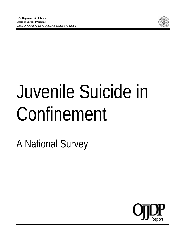

# Juvenile Suicide in Confinement

A National Survey

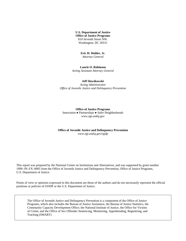**U.S. Department of Justice Office of Justice Programs** 810 Seventh Street NW. Washington, DC 20531

#### **Eric H. Holder, Jr.**

*Attorney General* 

**Laurie O. Robinson**  *Acting Assistant Attorney General* 

#### **Jeff Slowikowski**

*Acting Administrator Office of Juvenile Justice and Delinquency Prevention* 

**Office of Justice Programs**  Innovation ● Partnerships ● Safer Neighborhoods *www.ojp.usdoj.gov* 

#### **Office of Juvenile Justice and Delinquency Prevention**  *www.ojp.usdoj.gov/ojjdp*

This report was prepared by the National Center on Institutions and Alternatives, and was supported by grant number 1999–JN–FX–0005 from the Office of Juvenile Justice and Delinquency Prevention, Office of Justice Programs, U.S. Department of Justice.

Points of view or opinions expressed in this document are those of the authors and do not necessarily represent the official positions or policies of OJJDP or the U.S. Department of Justice.

The Office of Juvenile Justice and Delinquency Prevention is a component of the Office of Justice Programs, which also includes the Bureau of Justice Assistance, the Bureau of Justice Statistics, the Community Capacity Development Office; the National Institute of Justice, the Office for Victims of Crime; and the Office of Sex Offender Sentencing, Monitoring, Apprehending, Registering, and Tracking (SMART)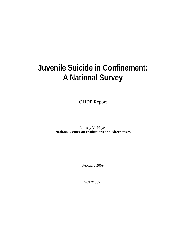## **Juvenile Suicide in Confinement: A National Survey**

OJJDP Report

Lindsay M. Hayes **National Center on Institutions and Alternatives** 

February 2009

NCJ 213691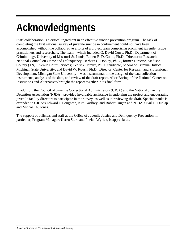## **Acknowledgments**

Staff collaboration is a critical ingredient in an effective suicide prevention program. The task of completing the first national survey of juvenile suicide in confinement could not have been accomplished without the collaborative efforts of a project team comprising prominent juvenile justice practitioners and researchers. The team—which included G. David Curry, Ph.D., Department of Criminology, University of Missouri-St. Louis; Robert E. DeComo, Ph.D., Director of Research, National Council on Crime and Delinquency; Barbara C. Dooley, Ph.D., former Director, Madison County (TN) Juvenile Court Services; Cedrick Heraux, Ph.D. candidate, School of Criminal Justice, Michigan State University; and David W. Roush, Ph.D., Director, Center for Research and Professional Development, Michigan State University—was instrumental in the design of the data collection instruments, analysis of the data, and review of the draft report. Alice Boring of the National Center on Institutions and Alternatives brought the report together in its final form.

In addition, the Council of Juvenile Correctional Administrators (CJCA) and the National Juvenile Detention Association (NJDA), provided invaluable assistance in endorsing the project and encouraging juvenile facility directors to participate in the survey, as well as in reviewing the draft. Special thanks is extended to CJCA's Edward J. Loughran, Kim Godfrey, and Robert Dugan and NJDA's Earl L. Dunlap and Michael A. Jones.

The support of officials and staff at the Office of Juvenile Justice and Delinquency Prevention, in particular, Program Managers Karen Stern and Phelan Wyrick, is appreciated.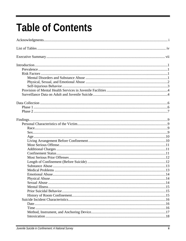## **Table of Contents**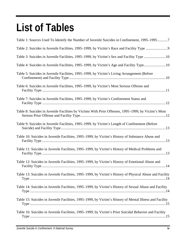## **List of Tables**

| Table 1: Sources Used To Identify the Number of Juvenile Suicides in Confinement, 1995–19957             |
|----------------------------------------------------------------------------------------------------------|
|                                                                                                          |
| Table 3: Suicides in Juvenile Facilities, 1995-1999, by Victim's Sex and Facility Type 10                |
| Table 4: Suicides in Juvenile Facilities, 1995–1999, by Victim's Age and Facility Type10                 |
| Table 5: Suicides in Juvenile Facilities, 1995–1999, by Victim's Living Arrangement (Before              |
| Table 6: Suicides in Juvenile Facilities, 1995–1999, by Victim's Most Serious Offense and                |
| Table 7: Suicides in Juvenile Facilities, 1995–1999, by Victim's Confinement Status and                  |
| Table 8: Suicides in Juvenile Facilities by Victims With Prior Offenses, 1995–1999, by Victim's Most     |
| Table 9: Suicides in Juvenile Facilities, 1995-1999, by Victim's Length of Confinement (Before           |
| Table 10: Suicides in Juvenile Facilities, 1995–1999, by Victim's History of Substance Abuse and         |
| Table 11: Suicides in Juvenile Facilities, 1995–1999, by Victim's History of Medical Problems and        |
| Table 12: Suicides in Juvenile Facilities, 1995–1999, by Victim's History of Emotional Abuse and         |
| Table 13: Suicides in Juvenile Facilities, 1995-1999, by Victim's History of Physical Abuse and Facility |
| Table 14: Suicides in Juvenile Facilities, 1995–1999, by Victim's History of Sexual Abuse and Facility   |
| Table 15: Suicides in Juvenile Facilities, 1995–1999, by Victim's History of Mental Illness and Facility |
| Table 16: Suicides in Juvenile Facilities, 1995-1999, by Victim's Prior Suicidal Behavior and Facility   |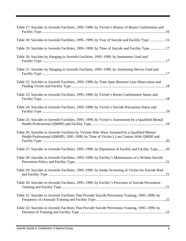| Table 17: Suicides in Juvenile Facilities, 1995–1999, by Victim's History of Room Confinement and                                                                                     |
|---------------------------------------------------------------------------------------------------------------------------------------------------------------------------------------|
| Table 18: Suicides in Juvenile Facilities, 1995-1999, by Year of Suicide and Facility Type 16                                                                                         |
| Table 19: Suicides in Juvenile Facilities, 1995–1999, by Time of Suicide and Facility Type17                                                                                          |
| Table 20: Suicides by Hanging in Juvenile Facilities, 1995–1999, by Instrument Used and                                                                                               |
| Table 21: Suicides by Hanging in Juvenile Facilities, 1995–1999, by Anchoring Device Used and                                                                                         |
| Table 22: Suicides in Juvenile Facilities, 1995–1999, by Time Span Between Last Observation and                                                                                       |
| Table 23: Suicides in Juvenile Facilities, 1995–1999, by Victim's Room Confinement Status and                                                                                         |
| Table 24: Suicides in Juvenile Facilities, 1995–1999, by Victim's Suicide Precaution Status and                                                                                       |
| Table 25: Suicides in Juvenile Facilities, 1995-1999, by Victim's Assessment by a Qualified Mental                                                                                    |
| Table 26: Suicides in Juvenile Facilities by Victims Who Were Assessed by a Qualified Mental<br>Health Professional (QMHP), 1995-1999, by Time of Victim's Last Contact With QMHP and |
| Table 27: Suicides in Juvenile Facilities, 1995–1999, by Population of Facility and Facility Type20                                                                                   |
| Table 28: Suicides in Juvenile Facilities, 1995–1999, by Facility's Maintenance of a Written Suicide                                                                                  |
| Table 29: Suicides in Juvenile Facilities, 1995–1999, by Intake Screening of Victim for Suicide Risk                                                                                  |
| Table 30: Suicides in Juvenile Facilities, 1995–1999, by Facility's Provision of Suicide Prevention                                                                                   |
| Table 31: Suicides in Juvenile Facilities That Provide Suicide Prevention Training, 1995–1999, by                                                                                     |
| Table 32: Suicides in Juvenile Facilities That Provide Suicide Prevention Training, 1995–1999, by                                                                                     |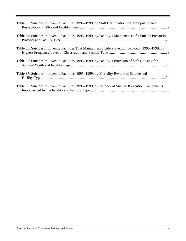| Table 33: Suicides in Juvenile Facilities, 1995–1999, by Staff Certification in Cardiopulmonary         |  |
|---------------------------------------------------------------------------------------------------------|--|
| Table 34: Suicides in Juvenile Facilities, 1995–1999, by Facility's Maintenance of a Suicide Precaution |  |
| Table 35: Suicides in Juvenile Facilities That Maintain a Suicide Prevention Protocol, 1995–1999, by    |  |
| Table 36: Suicides in Juvenile Facilities, 1995–1999, by Facility's Provision of Safe Housing for       |  |
| Table 37: Suicides in Juvenile Facilities, 1995–1999, by Mortality Review of Suicide and                |  |
| Table 38: Suicides in Juvenile Facilities, 1995–1999, by Number of Suicide Prevention Components        |  |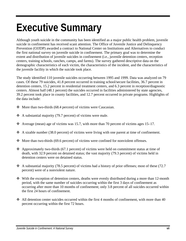## **Executive Summary**

Although youth suicide in the community has been identified as a major public health problem, juvenile suicide in confinement has received scant attention. The Office of Juvenile Justice and Delinquency Prevention (OJJDP) awarded a contract to National Center on Institutions and Alternatives to conduct the first national survey on juvenile suicide in confinement. The primary goal was to determine the extent and distribution of juvenile suicides in confinement (i.e., juvenile detention centers, reception centers, training schools, ranches, camps, and farms). The survey gathered descriptive data on the demographic characteristics of each victim, the characteristics of the incident, and the characteristics of the juvenile facility in which the suicide took place.

The study identified 110 juvenile suicides occurring between 1995 and 1999. Data was analyzed on 79 cases. Of these 79 suicides, 41.8 percent occurred in training school/secure facilities, 36.7 percent in detention centers, 15.2 percent in residential treatment centers, and 6.3 percent in reception/diagnostic centers. Almost half (48.1 percent) the suicides occurred in facilities administered by state agencies, 39.2 percent took place in county facilities, and 12.7 percent occurred in private programs. Highlights of the data include:

- $\bullet$  More than two-thirds (68.4 percent) of victims were Caucasian.
- $\triangle$  A substantial majority (79.7 percent) of victims were male.
- $\bullet$  Average (mean) age of victims was 15.7, with more than 70 percent of victims ages 15–17.
- $\triangle$  A sizable number (38.0 percent) of victims were living with one parent at time of confinement.
- $\div$  More than two-thirds (69.6 percent) of victims were confined for nonviolent offenses.
- $\triangleleft$  Approximately two-thirds (67.1 percent) of victims were held on commitment status at time of death, with 32.9 percent on detained status; the vast majority (79.3 percent) of victims held in detention centers were on detained status.
- $\triangleleft$  A substantial majority (78.5 percent) of victims had a history of prior offenses; most of these (72.7) percent) were of a nonviolent nature.
- $\div$  With the exception of detention centers, deaths were evenly distributed during a more than 12-month period, with the same number of suicides occurring within the first 3 days of confinement as occurring after more than 10 months of confinement; only 3.8 percent of all suicides occurred within the first 24 hours of confinement.
- $\div$  All detention center suicides occurred within the first 4 months of confinement, with more than 40 percent occurring within the first 72 hours.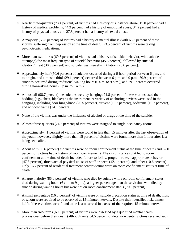- $\cdot$  Nearly three-quarters (73.4 percent) of victims had a history of substance abuse, 19.0 percent had a history of medical problems, 44.3 percent had a history of emotional abuse, 34.2 percent had a history of physical abuse, and 27.8 percent had a history of sexual abuse.
- $\triangleleft$  A majority (65.8 percent) of victims had a history of mental illness (with 65.3 percent of these victims suffering from depression at the time of death); 53.5 percent of victims were taking psychotropic medications.
- $\bullet$  More than two-thirds (69.6 percent) of victims had a history of suicidal behavior, with suicide attempt(s) the most frequent type of suicidal behavior (45.5 percent), followed by suicidal ideation/threat (30.9 percent) and suicidal gesture/self-mutilation (23.6 percent).
- Approximately half (50.6 percent) of suicides occurred during a 6-hour period between 6 p.m. and midnight, and almost a third (29.1 percent) occurred between 6 p.m. and 9 p.m.; 70.9 percent of suicides occurred during traditional waking hours (6 a.m. to 9 p.m.), and 29.1 percent occurred during nonwaking hours  $(9 \text{ p.m. to } 6 \text{ a.m.}).$
- $\triangleleft$  Almost all (98.7 percent) the suicides were by hanging; 71.8 percent of these victims used their bedding (e.g., sheet, blanket) as the instrument. A variety of anchoring devices were used in the hangings, including door hinge/knob (20.5 percent), air vent (19.2 percent), bedframe (19.2 percent), and window frame (14.1 percent).
- None of the victims was under the influence of alcohol or drugs at the time of the suicide.
- Almost three-quarters (74.7 percent) of victims were assigned to single-occupancy rooms.
- Approximately 41 percent of victims were found in less than 15 minutes after the last observation of the youth: however, slightly more than 15 percent of victims were found more than 1 hour after last being seen alive.
- $\triangleleft$  About half (50.6 percent) the victims were on room confinement status at the time of death (and 62.0 percent of victims had a history of room confinement). The circumstances that led to room confinement at the time of death included failure to follow program rules/inappropriate behavior (47.3 percent), threat/actual physical abuse of staff or peers (42.1 percent), and other (10.6 percent). Only 16.7 percent of residential treatment center victims were on room confinement status at time of death.
- $\triangleleft$  A large majority (85.0 percent) of victims who died by suicide while on room confinement status died during waking hours (6 a.m. to 9 p.m.), a higher percentage than those victims who died by suicide during waking hours but were not on room confinement status (70.9 percent).
- A small percentage (16.5 percent) of victims were on suicide precaution status at time of death, most of whom were required to be observed at 15-minute intervals. Despite their identified risk, almost half of these victims were found to be last observed in excess of the required 15-minute interval.
- $\triangleleft$  More than two-thirds (69.6 percent) of victims were assessed by a qualified mental health professional before their death (although only 34.5 percent of detention center victims received such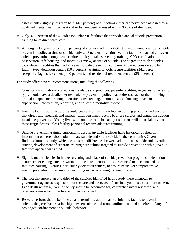assessments); slightly less than half (44.3 percent) of all victims either had never been assessed by a qualified mental health professional or had not been assessed within 30 days of their death.

- $\cdot$  Only 37.9 percent of the suicides took place in facilities that provided annual suicide prevention training to its direct care staff.
- Although a large majority (78.5 percent) of victims died in facilities that maintained a written suicide prevention policy at time of suicide, only 20.3 percent of victims were in facilities that had all seven suicide prevention components (written policy, intake screening, training, CPR certification, observation, safe housing, and mortality review) at time of suicide. The degree to which suicides took place in facilities that had all seven suicide prevention components varied considerably by facility type: detention centers (10.3 percent), training schools/secure facilities (24.2 percent), reception/diagnostic centers (40.0 percent), and residential treatment centers (25.0 percent).

The study offers several recommendations, including the following:

- Consistent with national corrections standards and practices, juvenile facilities, regardless of size and type, should have a detailed written suicide prevention policy that addresses each of the following critical components: training, identification/screening, communication, housing, levels of supervision, intervention, reporting, and followup/mortality review.
- Juvenile facility administrators should create and maintain effective training programs and ensure that direct care, medical, and mental health personnel receive both pre-service and annual instruction in suicide prevention. Young lives will continue to be lost and jurisdictions will incur liability from these tragic deaths unless facility personnel receive adequate training.
- Suicide prevention training curriculums used in juvenile facilities have historically relied on information gathered about adult inmate suicide and youth suicide in the community. Given the findings from this study, which demonstrate differences between adult inmate suicide and juvenile suicide, development of separate training curriculums targeted to suicide prevention within juvenile facilities appears warranted.
- $\bullet$  Significant deficiencies in intake screening and a lack of suicide prevention programs in detention centers experiencing suicides warrant immediate attention. Resources need to be channeled to facilities housing juveniles, particularly detention centers, to ensure basic, yet comprehensive, suicide prevention programming, including intake screening for suicide risk.
- The fact that more than one-third of the suicides identified in this study were unknown to government agencies responsible for the care and advocacy of confined youth is a cause for concern. Each death within a juvenile facility should be accounted for, comprehensively reviewed, and provisions made for corrective action as warranted.
- Research efforts should be directed at determining additional precipitating factors to juvenile suicide, the perceived relationship between suicide and room confinement, and the effect, if any, of prolonged confinement on suicidal behavior.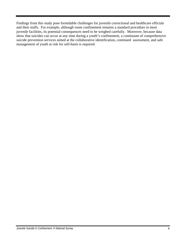Findings from this study pose formidable challenges for juvenile correctional and healthcare officials and their staffs. For example, although room confinement remains a standard procedure in most juvenile facilities, its potential consequences need to be weighed carefully. Moreover, because data show that suicides can occur at any time during a youth's confinement, a continuum of comprehensive suicide prevention services aimed at the collaborative identification, continued assessment, and safe management of youth at risk for self-harm is required.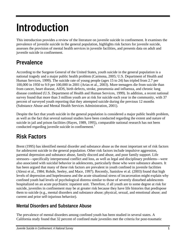## **Introduction**

This introduction provides a review of the literature on juvenile suicide in confinement. It examines the prevalence of juvenile suicide in the general population, highlights risk factors for juvenile suicide, assesses the provision of mental health services in juvenile facilities, and presents data on adult and juvenile suicide in confinement.

## **Prevalence**

According to the Surgeon General of the United States, youth suicide in the general population is a national tragedy and a major public health problem (Carmona, 2005; U.S. Department of Health and Human Services, 1999). The suicide rate of young people (ages 15 to 24) has tripled from 2.7 per 100,000 in 1950 to 9.9 per 100,000 in 2001 (Arias et al., 2003). More teenagers die from suicide than from cancer, heart disease, AIDS, birth defects, stroke, pneumonia and influenza, and chronic lung disease combined (U.S. Department of Health and Human Services, 1999). In addition, a recent national survey found that more than 3 million youth are at risk for suicide each year in the community, with 37 percent of surveyed youth reporting that they attempted suicide during the previous 12 months (Substance Abuse and Mental Health Services Administration, 2001).

Despite the fact that youth suicide in the general population is considered a major public health problem, as well as the fact that several national studies have been conducted regarding the extent and nature of suicide in jail and prison facilities (Hayes, 1989, 1995), comparable national research has not been conducted regarding juvenile suicide in confinement.<sup>1</sup>

### **Risk Factors**

Brent (1995) has identified mental disorder and substance abuse as the most important set of risk factors for adolescent suicide in the general population. Other risk factors include impulsive aggression, parental depression and substance abuse, family discord and abuse, and poor family support. Life stressors—specifically interpersonal conflict and loss, as well as legal and disciplinary problems—were also associated with suicidal behavior in adolescents, particularly those who were substance abusers. It has been argued that many of these risk factors are prevalent in youth confined in juvenile facilities (Alessi et al., 1984; Rohde, Seeley, and Mace, 1997). Recently, Sanislow et al. (2003) found that high levels of depression and hopelessness and the acute situational stress of incarceration might explain why confined youth had levels of psychological distress similar to those of severely disturbed adolescents hospitalized on an acute psychiatric inpatient unit. Therefore, if all youth are to some degree at risk for suicide, juveniles in confinement may be at greater risk because they have life histories that predispose them to suicide (e.g., mental disorders and substance abuse; physical, sexual, and emotional abuse; and current and prior self-injurious behavior).

#### **Mental Disorders and Substance Abuse**

The prevalence of mental disorders among confined youth has been studied in several states. A California study found that 32 percent of confined male juveniles met the criteria for post-traumatic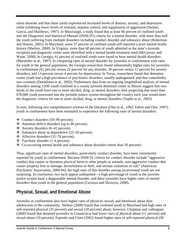stress disorder and that these youth experienced increased levels of distress, anxiety, and depression while exhibiting lower levels of restraint, impulse control, and suppression of aggression (Steiner, Garcia, and Matthews, 1997). In Mississippi, a study found that at least 66 percent of confined youth met the *Diagnostic and Statistical Manual* (DSM-IV) criteria for a mental disorder, with more than half the youth suffering from multiple disorders including conduct disorder and substance abuse (Robertson and Husain, 2001). In Maryland, some 57 percent of confined youth self-reported a prior mental health history (Shelton, 2000). In Virginia, more than 60 percent of youth admitted to the state's juvenile reception and diagnostic center were identified with a mental health treatment need (McGarvey and Waite, 2000). In Georgia, 61 percent of confined youth were found to have mental health disorders (Marsteller et al., 1997). In comparing rates of mental disorder for juveniles in confinement with rates for youth in the general population, the Georgia researchers found substantially higher rates for juveniles in confinement (61 percent versus 22 percent for any disorder, 30 percent versus 11 percent for anxiety disorders, and 13 percent versus 4 percent for depression). In Texas, researchers found that detention center youth had a high prevalence of psychiatric disorders, usually undiagnosed, and that comorbidity was common (Domalanta et al., 2003). Preliminary data from an ongoing longitudinal analysis of mental disorders among 1,830 youth confined in a county juvenile detention center in Illinois suggest that twothirds of the youth have one or more alcohol, drug, or mental disorders, thus projecting that more than 670,000 youth processed into the juvenile justice system throughout the country each year would meet the diagnostic criteria for one or more alcohol, drug, or mental disorders (Teplin et al., 2002).

In sum, following two comprehensive reviews of the literature (Otto et al., 1992; Edens and Otto, 1997), youth in confinement have been estimated to experience the following rates of mental disorders:

- $\triangleleft$  Conduct disorders (50–90 percent).
- $\triangleleft$  Attention deficit disorders (up to 46 percent).
- $\triangleleft$  Anxiety disorders (6–41 percent).
- $\div$  Substance abuse or dependence (25–50 percent).
- $\triangleleft$  Affective disorders (32–78 percent).
- $\div$  Psychotic disorder (1–6 percent).
- Co-occurring mental health and substance abuse disorders (more than 50 percent).

Thus, significant rates of mental disorders, particularly conduct disorder, have been consistently reported for youth in confinement. Because DSM-IV criteria for conduct disorder include "aggressive conduct that causes or threatens physical harm to other people or animals, non-aggressive conduct that causes property loss or damage, deceitfulness or theft, and serious violations of rule" (American Psychiatric Association, 2000:94), the high rates of this disorder among incarcerated youth are not surprising. In conclusion, two facts appear undisputed—a high percentage of youth in the juvenile justice system have a diagnosable mental disorder, and these juveniles have higher rates of mental disorders than youth in the general population (Cocozza and Skowyra, 2000).

#### **Physical, Sexual, and Emotional Abuse**

Juveniles in confinement also have higher rates of physical, sexual, and emotional abuse than adolescents in the community. Shelton (2000) found that confined youth in Maryland had high rates of self-reported physical (35 percent) and sexual (18 percent) abuse; however, Chapman and colleagues (2000) found that detained juveniles in Connecticut had lower rates of physical abuse (11 percent) and sexual abuse (10 percent). Esposito and Clum (2002) found higher rates of self-reported physical (58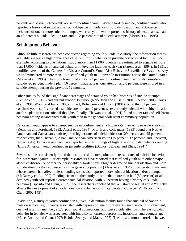percent) and sexual (24 percent) abuse for confined youth. With regard to suicide, confined youth who reported a history of sexual abuse had a 43-percent incidence of suicidal ideation and a 35-percent incidence of one or more suicide attempts, whereas youth who reported no history of sexual abuse had an 18-percent suicidal ideation rate and a 12-percent rate of suicide attempts (Morris et al., 1995).

#### **Self-Injurious Behavior**

Although little research has been conducted regarding youth suicide in custody, the information that is available suggests a high prevalence of self-injurious behavior in juvenile correctional facilities. For example, according to one national study, more than 11,000 juveniles are estimated to engage in more than 17,000 incidents of suicidal behavior in juvenile facilities each year (Parent et al., 1994). In 1991, a modified version of the Centers for Disease Control's Youth Risk Behavior Surveillance System survey was administered to more than 1,800 confined youth in 39 juvenile institutions across the United States (Morris et al., 1995). The study found that almost 22 percent of confined youth seriously considered suicide, 20 percent made a plan, 16 percent made at least one attempt, and 8 percent were injured in a suicide attempt during the previous 12 months.

Other studies found that significant percentages of detained youth had histories of suicide attempts (Dembo et al., 1990) and current suicidal behavior (Robertson and Husain, 2001, Shelton, 2000; Davis et al., 1991; Woolf and Funk, 1985). In fact, Robertson and Husain (2001) found that 31 percent of confined youth self-reported a suicide attempt, and 9 percent were currently suicidal with either ideation and/or a plan to act on suicidal thoughts. Finally, Chowanec et al. (1991) found higher rates of self-harm behavior among incarcerated male youth than in the general adolescent community population.

Caucasian youth appear to attempt suicide in confinement at a higher rate than African American youth (Kempton and Forehand, 1992; Alessi et al., 1984). Morris and colleagues (1995) found that Native American and Caucasian youth reported higher rates of suicidal ideation (29 percent and 25 percent, respectively) than Hispanic, Asian, and African American youth (15 percent, 12 percent, and 8 percent, respectively). Other researchers have reported similar findings of high rates of suicidal behavior among Native American youth confined in juvenile facilities (Duclos, LeBeau, and Elias, 1994).<sup>2</sup>

Several studies consistently found that certain risk factors point to increased rates of suicidal behavior for incarcerated youth. For example, researchers have reported that confined youth with either major affective disorder or borderline personality disorder have a higher degree of suicidal ideation and more suicide attempts than adolescents in the general population (Alessi et al., 1984); incarcerated male youth whose parents had affectionless bonding styles also reported more suicidal ideation and/or attempts (McGarvey et al., 1999). Findings from another study indicate that more than half (52 percent) of all detained youth self-reported current suicidal ideation, with 33 percent having a history of suicidal behavior (Esposito and Clum, 2002). The researchers concluded that a history of sexual abuse "directly affects the development of suicidal ideation and behavior in incarcerated adolescents" (Esposito and Clum, 2002:145).

In addition, a study of youth confined in a juvenile detention facility found that suicidal behavior in males was most significantly associated with depression, major life events (such as court involvement, death of a family member, etc.), poor social connections, and past suicide attempts, whereas suicidal behavior in females was associated with impulsivity, current depression, instability, and younger age (Mace, Rohde, and Gnau, 1997; Rohde, Seeley, and Mace, 1997). The most common correlate between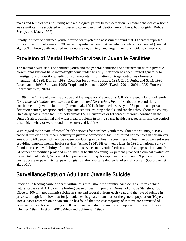males and females was not living with a biological parent before detention. Suicidal behavior of a friend was significantly associated with past and current suicidal ideation among boys, but not girls (Rohde, Seeley, and Mace, 1997).

Finally, a study of confined youth referred for psychiatric assessment found that 30 percent reported suicidal ideation/behavior and 30 percent reported self-mutilative behavior while incarcerated (Penn et al., 2003). These youth reported more depression, anxiety, and anger than nonsuicidal confined youth.

### **Provision of Mental Health Services in Juvenile Facilities**

The mental health status of confined youth and the general conditions of confinement within juvenile correctional systems have increasingly come under scrutiny. Attention has been limited generally to investigations of specific jurisdictions or anecdotal information on tragic outcomes (Amnesty International, 1998; Burrell, 1999; Coalition for Juvenile Justice, 1999, 2000; Puritz and Scali, 1998; Rosenbaum, 1999; Sullivan, 1995; Trupin and Patterson, 2003; Twedt, 2001a, 2001b; U.S. House of Representatives, 2004).

In 1994, the Office of Juvenile Justice and Delinquency Prevention (OJJDP) released a landmark study, *Conditions of Confinement: Juvenile Detention and Corrections Facilities,* about the conditions of confinement in juvenile facilities (Parent et al., 1994). It included a survey of 984 public and private detention centers, reception and diagnostic centers, training schools, and ranches throughout the country. On a daily basis, these facilities held almost 65,000 juveniles or 69 percent of youth confined in the United States. Substantial and widespread problems in living space, health care, security, and the control of suicidal behavior were found in the surveyed facilities.

With regard to the state of mental health services for confined youth throughout the country, a 1983 national survey of healthcare delivery in juvenile correctional facilities found deficiencies in certain key areas: only 60 percent of facilities were conducting initial health screening and less than 50 percent were providing ongoing mental health services (Anno, 1984). Fifteen years later, in 1998, a national survey found increased availability of mental health services in juvenile facilities, but that gaps still remained: 64 percent of facilities provided initial mental health screening, 74 percent provided a clinical evaluation by mental health staff, 82 percent had provisions for psychotropic medication, and 69 percent provided onsite access to psychiatrists, psychologists, and/or master's degree level social workers (Goldstrom et al., 2001).

### **Surveillance Data on Adult and Juvenile Suicide**

Suicide is a leading cause of death within jails throughout the country. Suicide ranks third (behind natural causes and AIDS) as the leading cause of death in prisons (Bureau of Justice Statistics, 2005). Close to 200 inmates commit suicide in state and federal prisons each year, and the rate of suicide in prisons, though far below that for jail suicides, is greater than that for the general population (Hayes, 1995). Most research on prison suicide has found that the vast majority of victims are convicted of personal crimes, housed in single cells, and have a history of suicide attempts and/or mental illness (Bonner, 1992; He et al., 2001; White and Schimmel, 1995).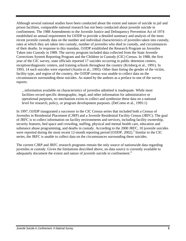Although several national studies have been conducted about the extent and nature of suicide in jail and prison facilities, comparable national research has not been conducted about juvenile suicide in confinement. The 1988 Amendments to the Juvenile Justice and Delinquency Prevention Act of 1974 established an annual requirement for OJJDP to provide a detailed summary and analysis of the most recent juvenile custody data on the number and individual characteristics of juveniles taken into custody, rates at which they are taken into custody, number of juveniles who died in custody, and circumstances of their deaths. In response to this mandate, OJJDP established the Research Program on Juveniles Taken into Custody in 1989. The survey program included data collected from the State Juvenile Corrections System Reporting Program and the Children in Custody (CIC) Census. In 1988, the first year of the CIC survey, state officials reported 17 suicides occurring in public detention centers, reception/diagnostic centers, and training schools throughout the country (Krisberg et al., 1991). In 1993, 14 such suicides were reported (Austin et al., 1995). Other than listing the gender of the victim, facility type, and region of the country, the OJJDP census was unable to collect data on the circumstances surrounding these suicides. As stated by the authors as a preface to one of the survey reports:

...information available on characteristics of juveniles admitted is inadequate. While most facilities record specific demographic, legal, and other information for administrative or operational purposes, no mechanism exists to collect and synthesize these data on a national level for research, policy, or program development purposes. (DeComo et al., 1995:1)

In 1997, OJJDP inaugurated a successor to the CIC Census series that included both a Census of Juveniles in Residential Placement (CJRP) and a Juvenile Residential Facility Census (JRFC). The goal of JRFC is to collect information on facility environments and services, including facility ownership, security features, bed space and crowding, staffing, physical and mental health care, education and substance abuse programming, and deaths in custody. According to the 2000 JRFC, 10 juvenile suicides were reported during the most recent 12-month reporting period (OJJDP, 2002).<sup>3</sup> Similar to the CIC series, the JRFC is unable to collect data on the circumstances surrounding these suicides.

The current CJRP and JRFC research programs remain the only source of nationwide data regarding juveniles in custody. Given the limitations described above, no data source is currently available to adequately document the extent and nature of juvenile suicide in confinement.<sup>4</sup>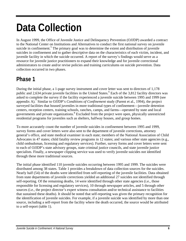## **Data Collection**

In August 1999, the Office of Juvenile Justice and Delinquency Prevention (OJJDP) awarded a contract to the National Center on Institutions and Alternatives to conduct the first national survey on juvenile suicide in confinement.<sup>5</sup> The primary goal was to determine the extent and distribution of juvenile suicides in confinement and to gather descriptive data on the characteristics of each victim, incident, and juvenile facility in which the suicide occurred. A report of the survey's findings would serve as a resource for juvenile justice practitioners to expand their knowledge and for juvenile correctional administrators to create and/or revise policies and training curriculums on suicide prevention. Data collection occurred in two phases.

### **Phase 1**

During the initial phase, a 1-page survey instrument and cover letter was sent to directors of 1,178 public and 2,634 private juvenile facilities in the United States.<sup>6</sup> Each of the 3,812 facility directors was asked to complete the survey if the facility experienced a juvenile suicide between 1995 and 1999 (see appendix A).<sup>7</sup> Similar to OJJDP's *Conditions of Confinement* study (Parent et al., 1994), the project surveyed facilities that housed juveniles in more traditional types of confinement—juvenile detention centers, reception centers, training schools, ranches, camps, and farms—operated by state and local governments and private organizations.<sup>8</sup> Excluded from the project were open, physically unrestricted residential programs for juveniles such as shelters, halfway houses, and group homes.

To more accurately count the number of juvenile suicides in confinement between 1995 and 1999, survey forms and cover letters were also sent to the department of juvenile corrections, attorney general's office, and state medical examiner in each state; members of the National Association of Child Advocates in 47 states; child fatality review programs in 12 states; and various other state agencies (e.g., child ombudsman, licensing and regulatory services). Further, survey forms and cover letters were sent to each of OJJDP's state advisory groups, state criminal justice councils, and state juvenile justice specialists. Finally, a newspaper clipping service was used to verify juvenile suicides not identified through these more traditional sources.

The initial phase identified 110 juvenile suicides occurring between 1995 and 1999. The suicides were distributed among 38 states. Table 1 provides a breakdown of data collection sources for the suicides. Nearly half (54) of the deaths were identified from self-reporting of the juvenile facilities. Data obtained from state departments of juvenile corrections yielded an additional 27 suicides not identified through self-reporting. Of the remaining deaths, 14 were identified through other state agencies (i.e., those responsible for licensing and regulatory services), 10 through newspaper articles, and 5 through other sources (i.e., the project director's expert witness consultation and/or technical assistance to facilities that sustained these deaths). It should be noted that self-reporting was given the primary recognition for the identification of juvenile suicides. For example, if a juvenile suicide was identified by more than one source, including a self-report from the facility where the death occurred, the source would be attributed to a self-report (table 1).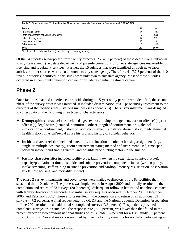| Table 1: Sources Used To Identify the Number of Juvenile Suicides in Confinement, 1995–1999 |     |       |
|---------------------------------------------------------------------------------------------|-----|-------|
| Source*                                                                                     | Ν   | %     |
| Facility self-report                                                                        | 54  | 49.7  |
| State departments of juvenile corrections                                                   | 27  | 24.6  |
| Other state agencies                                                                        | 14  | 12.7  |
| Newspaper articles                                                                          | 10  | 9.1   |
| Other sources                                                                               |     | 4.5   |
| Total                                                                                       | 110 | 100.0 |

\* Each suicide is only listed once (under the highest ranking source).

Of the 54 suicides self-reported from facility directors, 26 (48.2 percent) of these deaths were unknown to any state agency (i.e., state departments of juvenile corrections or other state agencies responsible for licensing and regulatory services). Further, the 15 suicides that were identified through newspaper articles or other sources were also unknown to any state agency. Therefore, 41 (37.3 percent) of the 110 juvenile suicides identified in this study were unknown to any state agency. Most of these suicides occurred in either county detention centers or private residential treatment centers.

### **Phase 2**

Once facilities that had experienced a suicide during the 5-year study period were identified, the second phase of the survey process was initiated. It included dissemination of a 7-page survey instrument to the directors of the facilities that sustained suicides (see appendix B). The survey instrument was designed to collect data on the following three types of characteristics:

- **Demographic characteristics** included age, sex, race, living arrangement, current offense(s), prior offense(s), legal status (detained, committed, other), length of confinement, drug/alcohol intoxication at confinement, history of room confinement, substance abuse history, medical/mental health history, physical/sexual abuse history, and history of suicidal behavior.
- **Incident characteristics** included date, time, and location of suicide; housing assignment (e.g., single or multiple occupancy); room confinement status; method and instrument used; time span between incident and finding victim; and possible precipitating factors to the suicide.
- **Facility characteristics** included facility type, facility ownership (e.g., state, county, private), capacity/population at time of suicide, and suicide prevention components in use (written policy, intake screening, staff training in suicide prevention and cardiopulmonary resuscitation, observation levels, safe housing, and mortality review).

The phase 2 survey instruments and cover letters were mailed to directors of the 83 facilities that sustained the 110 suicides. The process was implemented in August 2000 and initially resulted in the completion and return of 23 surveys (20.9 percent). Subsequent followup letters and telephone contact with facility directors not responding to initial survey requests occurred in October 2000, December 2000, and February 2001.<sup>9</sup> These efforts resulted in the completion and return of an additional 52 surveys (47.2 percent). A final request letter by OJJDP and the National Juvenile Detention Association in June 2001 resulted in an additional 4 completed surveys (3.6 percent). Respondents provided completed surveys on 79 suicides. The response rate (71.8 percent) was lower than that found in the project director's two previous national studies of jail suicide (82 percent for a 1981 study, 85 percent for a 1988 study). Several reasons were cited by juvenile facility directors for not fully participating in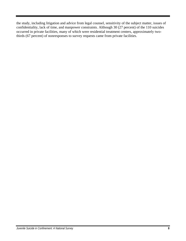the study, including litigation and advice from legal counsel, sensitivity of the subject matter, issues of confidentiality, lack of time, and manpower constraints. Although 30 (27 percent) of the 110 suicides occurred in private facilities, many of which were residential treatment centers, approximately twothirds (67 percent) of nonresponses to survey requests came from private facilities.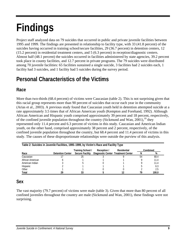## **Findings**

Project staff analyzed data on 79 suicides that occurred in public and private juvenile facilities between 1995 and 1999. The findings are presented in relationship to facility type, with 33 (41.8 percent) of the suicides having occurred in training school/secure facilities, 29 (36.7 percent) in detention centers, 12 (15.2 percent) in residential treatment centers, and 5 (6.3 percent) in reception/diagnostic centers. Almost half (48.1 percent) the suicides occurred in facilities administered by state agencies, 39.2 percent took place in county facilities, and 12.7 percent in private programs. The 79 suicides were distributed among 70 juvenile facilities: 65 facilities sustained a single suicide, 3 facilities had 2 suicides each, 1 facility had 3 suicides, and 1 facility had 5 suicides during the survey period.

### **Personal Characteristics of the Victims**

#### **Race**

More than two-thirds (68.4 percent) of victims were Caucasian (table 2). This is not surprising given that this racial group represents more than 90 percent of suicides that occur each year in the community (Arias et al., 2003). A previous study found that Caucasian youth held in detention attempted suicide at a rate approximately 3.5 times that of African American youth (Kempton and Forehand, 1992). Although African American and Hispanic youth comprised approximately 39 percent and 18 percent, respectively, of the confined juvenile population throughout the country (Sickmund and Wan,  $2001$ ),<sup>10</sup> they represented only 11.4 percent and 6.3 percent of victims in this study. Caucasian and American Indian youth, on the other hand, comprised approximately 38 percent and 2 percent, respectively, of the confined juvenile population throughout the country, but 68.4 percent and 11.4 percent of victims in this study. The causes of these disproportionate relationships were outside the purview of this analysis.

| Table 2: Suicides in Juvenile Facilities, 1995–1999, by Victim's Race and Facility Type           |                         |                        |  |  |    |       |  |  |
|---------------------------------------------------------------------------------------------------|-------------------------|------------------------|--|--|----|-------|--|--|
| Combined<br>Training School /<br>Residential<br>Reception /<br>Diagnostic Center Treatment Center |                         |                        |  |  |    |       |  |  |
| Race                                                                                              | <b>Detention Center</b> | <b>Secure Facility</b> |  |  | N  | %     |  |  |
| Caucasian                                                                                         |                         | 25                     |  |  | 54 | 68.4  |  |  |
| African American                                                                                  |                         |                        |  |  |    | 11.4  |  |  |
| American Indian                                                                                   |                         |                        |  |  |    | 11.4  |  |  |
| Hispanic                                                                                          |                         |                        |  |  |    | 6.3   |  |  |
| Other                                                                                             |                         |                        |  |  |    | 2.5   |  |  |
| Total                                                                                             |                         |                        |  |  | 79 | 100.0 |  |  |

#### **Sex**

The vast majority (79.7 percent) of victims were male (table 3). Given that more than 80 percent of all confined juveniles throughout the country are male (Sickmund and Wan, 2001), these findings were not surprising.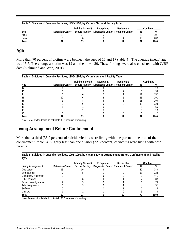| Table 3: Suicides in Juvenile Facilities, 1995–1999, by Victim's Sex and Facility Type |                         |                        |                                    |  |    |       |  |
|----------------------------------------------------------------------------------------|-------------------------|------------------------|------------------------------------|--|----|-------|--|
| Training School /<br>Residential<br>Combined<br>Reception /                            |                         |                        |                                    |  |    |       |  |
| Sex                                                                                    | <b>Detention Center</b> | <b>Secure Facility</b> | Diagnostic Center Treatment Center |  |    | %     |  |
| Male                                                                                   |                         |                        |                                    |  | 63 | 79.7  |  |
| Female                                                                                 |                         |                        |                                    |  | ١6 | 20.3  |  |
| Total                                                                                  | 29                      | 33                     |                                    |  | 79 | 100.0 |  |

#### **Age**

More than 70 percent of victims were between the ages of 15 and 17 (table 4). The average (mean) age was 15.7. The youngest victim was 12 and the oldest 20. These findings were also consistent with CJRP data (Sickmund and Wan, 2001).

| Table 4: Suicides in Juvenile Facilities, 1995–1999, by Victim's Age and Facility Type |                                                             |    |                                                      |  |   |       |  |  |
|----------------------------------------------------------------------------------------|-------------------------------------------------------------|----|------------------------------------------------------|--|---|-------|--|--|
|                                                                                        | Residential<br>Combined<br>Training School /<br>Reception / |    |                                                      |  |   |       |  |  |
| Age                                                                                    | <b>Detention Center</b>                                     |    | Secure Facility  Diagnostic Center  Treatment Center |  | N | %     |  |  |
|                                                                                        |                                                             |    |                                                      |  |   |       |  |  |
|                                                                                        |                                                             |    |                                                      |  |   | 3.8   |  |  |
|                                                                                        |                                                             |    |                                                      |  |   | 15.2  |  |  |
| 15                                                                                     |                                                             |    |                                                      |  |   | 29.1  |  |  |
| 16                                                                                     |                                                             |    |                                                      |  |   | 19.0  |  |  |
|                                                                                        |                                                             |    |                                                      |  |   | 22.8  |  |  |
| 18                                                                                     |                                                             |    |                                                      |  |   | 6.3   |  |  |
| 19                                                                                     |                                                             |    |                                                      |  |   |       |  |  |
| 20                                                                                     |                                                             |    |                                                      |  |   |       |  |  |
| Total                                                                                  |                                                             | 33 |                                                      |  |   | 100.0 |  |  |

Note: Percents for details do not total 100.0 because of rounding.

#### **Living Arrangement Before Confinement**

More than a third (38.0 percent) of suicide victims were living with one parent at the time of their confinement (table 5). Slightly less than one quarter (22.8 percent) of victims were living with both parents.

**Table 5: Suicides in Juvenile Facilities, 1995–1999, by Victim's Living Arrangement (Before Confinement) and Facility Type** 

|                        |                         | Training School /      | Reception /                        | Residential |    | Combined |
|------------------------|-------------------------|------------------------|------------------------------------|-------------|----|----------|
| Living Arrangement     | <b>Detention Center</b> | <b>Secure Facility</b> | Diagnostic Center Treatment Center |             |    | %        |
| One parent             |                         |                        |                                    |             | 30 | 38.0     |
| Both parents           |                         |                        |                                    |             | 18 | 22.8     |
| Community placement    |                         |                        |                                    |             |    | 11.4     |
| Other relatives        |                         |                        |                                    |             |    | 8.9      |
| Foster parent/guardian |                         |                        |                                    |             |    | 7.6      |
| Adoptive parents       |                         |                        |                                    |             |    | 5.       |
| Self only              |                         |                        |                                    |             |    | 2.5      |
| <b>Unknown</b>         |                         |                        |                                    |             |    | 3.8      |
| Total                  |                         |                        |                                    |             |    | 100.0    |

Note: Percents for details do not total 100.0 because of rounding.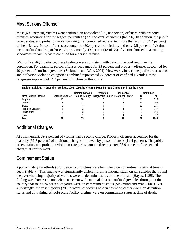#### **Most Serious Offense**<sup>11</sup>

Most (69.6 percent) victims were confined on nonviolent (i.e., nonperson) offenses, with property offenses accounting for the highest percentage (32.9 percent) of victims (table 6). In addition, the public order, status, and probation violation categories combined represented more than a third (34.2 percent) of the offenses. Person offenses accounted for 30.4 percent of victims, and only 2.5 percent of victims were confined on drug offenses. Approximately 40 percent (13 of 33) of victims housed in a training school/secure facility were confined for a person offense.

With only a slight variance, these findings were consistent with data on the confined juvenile population. For example, person offenses accounted for 35 percent and property offenses accounted for 29 percent of confined juveniles (Sickmund and Wan, 2001). However, whereas the public order, status, and probation violation categories combined represented 27 percent of confined juveniles, these categories represented 34.2 percent of victims in this study.

| Table 6: Suicides in Juvenile Facilities, 1995–1999, by Victim's Most Serious Offense and Facility Type |                         |                        |                                    |             |    |          |  |
|---------------------------------------------------------------------------------------------------------|-------------------------|------------------------|------------------------------------|-------------|----|----------|--|
|                                                                                                         |                         | Training School /      | Reception /                        | Residential |    | Combined |  |
| Most Serious Offense                                                                                    | <b>Detention Center</b> | <b>Secure Facility</b> | Diagnostic Center Treatment Center |             | N  | %        |  |
| Property                                                                                                |                         |                        |                                    |             | 26 | 32.9     |  |
| Person                                                                                                  |                         |                        |                                    |             |    | 30.4     |  |
| <b>Status</b>                                                                                           |                         |                        |                                    |             |    | 12.7     |  |
| Probation violation                                                                                     |                         |                        |                                    |             |    | 11.4     |  |
| Public order                                                                                            |                         |                        |                                    |             |    | 10.1     |  |
| Drug                                                                                                    |                         |                        |                                    |             |    | 2.5      |  |
| Total                                                                                                   |                         | 33                     |                                    |             |    | 100.0    |  |

#### **Additional Charges**

At confinement, 39.2 percent of victims had a second charge. Property offenses accounted for the majority (51.7 percent) of additional charges, followed by person offenses (19.4 percent). The public order, status, and probation violation categories combined represented 28.9 percent of the second charges at confinement.

#### **Confinement Status**

Approximately two-thirds (67.1 percent) of victims were being held on commitment status at time of death (table 7). This finding was significantly different from a national study on jail suicides that found the overwhelming majority of victims were on detention status at time of death (Hayes, 1989). The finding was, however, somewhat consistent with national data on confined juveniles throughout the country that found 74 percent of youth were on commitment status (Sickmund and Wan, 2001). Not surprisingly, the vast majority (79.3 percent) of victims held in detention centers were on detention status and all training school/secure facility victims were on commitment status at time of death.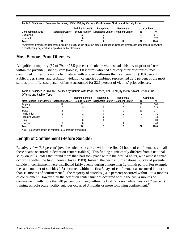| Table 7: Suicides in Juvenile Facilities, 1995–1999, by Victim's Confinement Status and Facility Type |                         |                        |                                    |  |    |       |  |
|-------------------------------------------------------------------------------------------------------|-------------------------|------------------------|------------------------------------|--|----|-------|--|
| Training School /<br>Residential<br>Combined<br>Reception /                                           |                         |                        |                                    |  |    |       |  |
| Confinement Status*                                                                                   | <b>Detention Center</b> | <b>Secure Facility</b> | Diagnostic Center Treatment Center |  | N  | %     |  |
| Committed                                                                                             |                         | 33                     |                                    |  | 53 | 67.1  |  |
| Detained                                                                                              | 23                      |                        |                                    |  | 26 | 32.9  |  |
| Total                                                                                                 | 29                      | 33                     |                                    |  | 70 | 100.0 |  |

\* Committed juveniles included those placed in a facility as part of a court-ordered disposition. Detained juveniles included those held awaiting a court hearing, adjudication, disposition, and/or placement.

#### **Most Serious Prior Offenses**

A significant majority (62 of 79, or 78.5 percent) of suicide victims had a history of prior offenses within the juvenile justice system (table 8). Of victims who had a history of prior offenses, most committed crimes of a nonviolent nature, with property offenses the most common (50.0 percent). Public order, status, and probation violation categories combined represented 22.5 percent of the most serious prior offenses; person offenses accounted for 22.6 percent of victims' prior offenses.

**Table 8: Suicides in Juvenile Facilities by Victims With Prior Offenses, 1995–1999, by Victim's Most Serious Prior Offense and Facility Type** 

| .                                           |  | Training School /      | Reception /                        | Residential |    | Combined |
|---------------------------------------------|--|------------------------|------------------------------------|-------------|----|----------|
| Most Serious Prior Offense Detention Center |  | <b>Secure Facility</b> | Diagnostic Center Treatment Center |             | N  | %        |
| Property                                    |  |                        |                                    |             | 31 | 50.0     |
| Person                                      |  |                        |                                    |             |    | 22.6     |
| <b>Status</b>                               |  |                        |                                    |             |    | 17.7     |
| Public order                                |  |                        |                                    |             |    | 3.2      |
| Probation violation                         |  |                        |                                    |             |    |          |
| Drug                                        |  |                        |                                    |             |    | 0.0      |
| <b>Unknown</b>                              |  |                        |                                    |             |    | 4.8      |
| Total                                       |  | 28                     |                                    |             |    | 100.0    |

Note: Percents for details do not total 100.0 because of rounding.

#### **Length of Confinement (Before Suicide)**

Relatively few (3.8 percent) juvenile suicides occurred within the first 24 hours of confinement, and all these deaths occurred in detention centers (table 9). This finding significantly differed from a national study on jail suicides that found more than half took place within the first 24 hours, with almost a third occurring within the first 3 hours (Hayes, 1989). Instead, the deaths in this national survey of juvenile suicide in confinement were distributed fairly evenly during a more than 12-month period. For example, the same number of suicides (13) occurred within the first 3 days of confinement as occurred in more than 10 months of confinement.<sup>12</sup> The majority of suicides (31.7 percent) occurred within 1 to 4 months of confinement. However, all the detention center suicides occurred within the first 4 months of confinement, with more than 40 percent occurring within the first 72 hours, while most (72.7 percent) training school/secure facility suicides occurred 3 months or more following confinement.<sup>13</sup>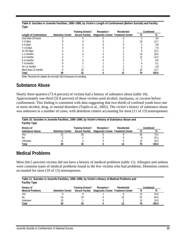|                       |                         | Training School /      | Reception /                        | Residential | Combined |       |
|-----------------------|-------------------------|------------------------|------------------------------------|-------------|----------|-------|
| Length of Confinement | <b>Detention Center</b> | <b>Secure Facility</b> | Diagnostic Center Treatment Center |             | N        | %     |
| Less than 24 hours    |                         |                        |                                    |             |          | 3.8   |
| $1-3$ days            |                         |                        |                                    |             |          | 12.7  |
| $4-6$ days            |                         |                        |                                    |             |          | 3.8   |
| $7-13$ days           |                         |                        |                                    |             |          | 7.6   |
| $14-30$ days          |                         |                        |                                    |             |          | 10.1  |
| $1-2$ months          |                         |                        |                                    |             |          | 16.5  |
| 3–4 months            |                         |                        |                                    |             |          | 15.2  |
| 5-6 months            |                         |                        |                                    |             |          | 8.9   |
| 7-9 months            |                         |                        |                                    |             |          | 5.1   |
| 10-12 months          |                         |                        |                                    |             |          | 3.8   |
| More than 12 months   |                         |                        |                                    |             |          | 12.7  |
| Total                 | 29                      | 33                     |                                    |             | 79       | 100.0 |

**Table 9: Suicides in Juvenile Facilities, 1995–1999, by Victim's Length of Confinement (Before Suicide) and Facility Type** 

Note: Percents for details do not total 100.0 because of rounding.

#### **Substance Abuse**

Nearly three-quarters (73.4 percent) of victims had a history of substance abuse (table 10). Approximately one-third (32.8 percent) of these victims used alcohol, marijuana, or cocaine before confinement. This finding is consistent with data suggesting that two-thirds of confined youth have one or more alcohol, drug, or mental disorders (Teplin et al., 2002). The victim's history of substance abuse was unknown in a number of cases, with detention centers accounting for most (11 of 13) nonresponses.

| Table 10: Suicides in Juvenile Facilities, 1995–1999, by Victim's History of Substance Abuse and<br><b>Facility Type</b> |                         |                        |                                    |             |    |          |  |  |
|--------------------------------------------------------------------------------------------------------------------------|-------------------------|------------------------|------------------------------------|-------------|----|----------|--|--|
| History of                                                                                                               |                         | Training School /      | Reception /                        | Residential |    | Combined |  |  |
| <b>Substance Abuse</b>                                                                                                   | <b>Detention Center</b> | <b>Secure Facility</b> | Diagnostic Center Treatment Center |             | N  | %        |  |  |
| Yes                                                                                                                      | 15                      | 29                     |                                    |             | 58 | 73.4     |  |  |
| No                                                                                                                       |                         |                        |                                    |             |    | 10.1     |  |  |
| <b>Unknown</b>                                                                                                           |                         |                        |                                    |             | 13 | 16.5     |  |  |
| Total                                                                                                                    | 29                      |                        |                                    |             | 79 | 100.0    |  |  |

#### **Medical Problems**

Most (64.5 percent) victims did not have a history of medical problems (table 11). Allergies and asthma were common types of medical problems found in the few victims who had problems. Detention centers accounted for most (10 of 13) nonresponses.

| Table 11: Suicides in Juvenile Facilities, 1995–1999, by Victim's History of Medical Problems and<br><b>Facility Type</b> |                         |                        |                                    |             |    |          |  |  |
|---------------------------------------------------------------------------------------------------------------------------|-------------------------|------------------------|------------------------------------|-------------|----|----------|--|--|
| History of                                                                                                                |                         | Training School /      | Reception /                        | Residential |    | Combined |  |  |
| <b>Medical Problems</b>                                                                                                   | <b>Detention Center</b> | <b>Secure Facility</b> | Diagnostic Center Treatment Center |             | N  | %        |  |  |
| Yes                                                                                                                       |                         |                        |                                    |             | 15 | 19.0     |  |  |
| No.                                                                                                                       | 14                      | 23                     |                                    |             | 51 | 64.5     |  |  |
| Unknown                                                                                                                   |                         |                        |                                    |             |    | 16.5     |  |  |
| Total                                                                                                                     | 29                      | 33                     |                                    |             | 79 | 100.0    |  |  |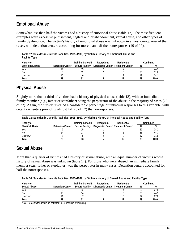#### **Emotional Abuse**

Somewhat less than half the victims had a history of emotional abuse (table 12). The most frequent examples were excessive punishment, neglect and/or abandonment, verbal abuse, and other types of family dysfunction. The victim's history of emotional abuse was unknown in almost one-quarter of the cases, with detention centers accounting for more than half the nonresponses (10 of 19).

| Table 12: Suicides in Juvenile Facilities, 1995–1999, by Victim's History of Emotional Abuse and<br><b>Facility Type</b> |                         |                        |                                    |             |    |          |  |  |
|--------------------------------------------------------------------------------------------------------------------------|-------------------------|------------------------|------------------------------------|-------------|----|----------|--|--|
| History of                                                                                                               |                         | Training School /      | Reception /                        | Residential |    | Combined |  |  |
| <b>Emotional Abuse</b>                                                                                                   | <b>Detention Center</b> | <b>Secure Facility</b> | Diagnostic Center Treatment Center |             | N  | %        |  |  |
| <b>Yes</b>                                                                                                               |                         | 15                     |                                    |             | 35 | 44.3     |  |  |
| <b>No</b>                                                                                                                |                         |                        |                                    |             | 25 | 31.6     |  |  |
| Unknown                                                                                                                  | 10                      |                        |                                    |             | 10 | 24.1     |  |  |
| Total                                                                                                                    | 29                      | 33                     |                                    |             | 79 | 100.0    |  |  |

#### **Physical Abuse**

Slightly more than a third of victims had a history of physical abuse (table 13), with an immediate family member (e.g., father or stepfather) being the perpetrator of the abuse in the majority of cases (20 of 27). Again, the survey revealed a considerable percentage of unknown responses to this variable, with detention centers providing almost half (8 of 17) the nonresponses.

| Table 13: Suicides in Juvenile Facilities, 1995–1999, by Victim's History of Physical Abuse and Facility Type |                         |                        |                                    |  |    |          |  |  |
|---------------------------------------------------------------------------------------------------------------|-------------------------|------------------------|------------------------------------|--|----|----------|--|--|
| Training School /<br>Residential<br>History of<br>Reception /                                                 |                         |                        |                                    |  |    | Combined |  |  |
| <b>Physical Abuse</b>                                                                                         | <b>Detention Center</b> | <b>Secure Facility</b> | Diagnostic Center Treatment Center |  | N  | %        |  |  |
| Yes                                                                                                           |                         |                        |                                    |  |    | 34.2     |  |  |
| No.                                                                                                           |                         |                        |                                    |  | 35 | 44.3     |  |  |
| Unknown                                                                                                       |                         |                        |                                    |  |    | 21.5     |  |  |
| Total                                                                                                         | 29                      | 33                     |                                    |  | 79 | 100.0    |  |  |

#### **Sexual Abuse**

More than a quarter of victims had a history of sexual abuse, with an equal number of victims whose history of sexual abuse was unknown (table 14). For those who were abused, an immediate family member (e.g., father or stepfather) was the perpetrator in many cases. Detention centers accounted for half the nonresponses.

| Table 14: Suicides in Juvenile Facilities, 1995–1999, by Victim's History of Sexual Abuse and Facility Type |                         |                        |                                    |             |    |          |  |  |
|-------------------------------------------------------------------------------------------------------------|-------------------------|------------------------|------------------------------------|-------------|----|----------|--|--|
| History of                                                                                                  |                         | Training School /      | Reception /                        | Residential |    | Combined |  |  |
| <b>Sexual Abuse</b>                                                                                         | <b>Detention Center</b> | <b>Secure Facility</b> | Diagnostic Center Treatment Center |             |    | %        |  |  |
| Yes                                                                                                         |                         |                        |                                    |             | 22 | 27.8     |  |  |
| No                                                                                                          |                         | 4                      |                                    |             | 35 | 44.3     |  |  |
| <b>Unknown</b>                                                                                              |                         |                        |                                    |             | 22 | 27.8     |  |  |
| Total                                                                                                       | 29                      |                        |                                    |             | 79 | 100.0    |  |  |

Note: Percents for details do not total 100.0 because of rounding.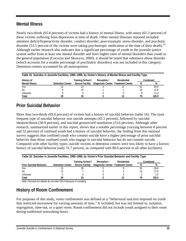#### **Mental Illness**

Nearly two-thirds (65.8 percent) of victims had a history of mental illness, with many (65.3 percent) of these victims suffering from depression at time of death. Other mental illnesses reported included attention deficit/hyperactivity disorder, conduct disorder, post-traumatic stress disorder, and psychotic disorder (53.5 percent of the victims were taking psychotropic medication at the time of their death).<sup>14</sup> Although earlier research also indicates that a significant percentage of youth in the juvenile justice system suffer from at least one mental disorder and have higher rates of mental disorders than youth in the general population (Cocozza and Skowyra, 2000), it should be noted that substance abuse disorder (which accounts for a sizable percentage of psychiatric disorders) was not included in this category. Detention centers accounted for all nonresponses.

| Table 15: Suicides in Juvenile Facilities, 1995–1999, by Victim's History of Mental Illness and Facility Type |                         |                        |                                    |             |    |          |  |  |
|---------------------------------------------------------------------------------------------------------------|-------------------------|------------------------|------------------------------------|-------------|----|----------|--|--|
| History of                                                                                                    |                         | Training School /      | Reception /                        | Residential |    | Combined |  |  |
| <b>Mental Illness</b>                                                                                         | <b>Detention Center</b> | <b>Secure Facility</b> | Diagnostic Center Treatment Center |             | N  | %        |  |  |
| <b>Yes</b>                                                                                                    | 14                      |                        |                                    |             | 52 | 65.8     |  |  |
| N <sub>0</sub>                                                                                                |                         | 10                     |                                    |             | 18 | 22.8     |  |  |
| <b>Unknown</b>                                                                                                |                         |                        |                                    |             |    | 11.4     |  |  |
| Total                                                                                                         | 29                      |                        |                                    |             | 70 | 100.0    |  |  |

#### **Prior Suicidal Behavior**

More than two-thirds (69.6 percent) of victims had a history of suicidal behavior (table 16). The most frequent type of suicidal behavior was suicide attempts (45.5 percent), followed by suicidal ideation/threat (30.9 percent), and suicidal gesture/self-mutilation (23.6 percent). Although other research, summarized earlier in this report, shows that a notable percentage (varying between 8 percent and 52 percent) of confined youth had a history of suicidal behavior, the finding from this national survey suggests that confined youth who commit suicide have a higher percentage of prior suicidal behavior than those confined youth who engage in suicidal behavior but do not commit suicide. Compared with other facility types, suicide victims in detention centers were less likely to have a known history of suicidal behavior (only 51.7 percent, as compared with 80.0 percent in all other facilities).

| Table 16: Suicides in Juvenile Facilities, 1995–1999, by Victim's Prior Suicidal Behavior and Facility Type |                         |                        |                                    |             |    |          |  |  |
|-------------------------------------------------------------------------------------------------------------|-------------------------|------------------------|------------------------------------|-------------|----|----------|--|--|
|                                                                                                             |                         | Training School /      | Reception /                        | Residential |    | Combined |  |  |
| <b>Prior Suicidal Behavior</b>                                                                              | <b>Detention Center</b> | <b>Secure Facility</b> | Diagnostic Center Treatment Center |             |    | %        |  |  |
| Yes                                                                                                         |                         | 26                     |                                    |             | 55 | 69.6     |  |  |
| N <sub>0</sub>                                                                                              |                         |                        |                                    |             |    | 27.8     |  |  |
| Unknown                                                                                                     |                         |                        |                                    |             |    | 2.5      |  |  |
| Total                                                                                                       | ንዓ                      | 33                     |                                    |             |    | 100.0    |  |  |

Note: Percents for details do not total 100.0 because of rounding.

#### **History of Room Confinement**

For purposes of this study, room confinement was defined as a "behavioral sanction imposed on youth that restricted movement for varying amounts of time." It included, but was not limited to, isolation, segregation, time-out, or a quiet room. Room confinement did not include youth assigned to their room during traditional nonwaking hours.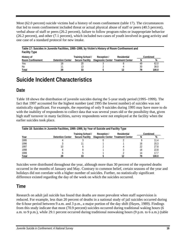Most (62.0 percent) suicide victims had a history of room confinement (table 17). The circumstances that led to room confinement included threat or actual physical abuse of staff or peers (40.5 percent), verbal abuse of staff or peers (26.2 percent), failure to follow program rules or inappropriate behavior (26.2 percent), and other (7.1 percent), which included two cases of youth involved in gang activity and one case of a standard protocol for new intake.

| Table 17: Suicides in Juvenile Facilities, 1995–1999, by Victim's History of Room Confinement and<br><b>Facility Type</b> |                         |                        |                                    |             |    |          |  |  |
|---------------------------------------------------------------------------------------------------------------------------|-------------------------|------------------------|------------------------------------|-------------|----|----------|--|--|
| History of                                                                                                                |                         | Training School /      | Reception /                        | Residential |    | Combined |  |  |
| <b>Room Confinement</b>                                                                                                   | <b>Detention Center</b> | <b>Secure Facility</b> | Diagnostic Center Treatment Center |             | N  | %        |  |  |
| Yes                                                                                                                       | 18                      | 20                     |                                    |             | 49 | 62.0     |  |  |
| No                                                                                                                        |                         |                        |                                    |             | 30 | 38.0     |  |  |
| Total                                                                                                                     | 29                      | 33                     |                                    |             | 79 | 100.0    |  |  |

### **Suicide Incident Characteristics**

#### **Date**

Table 18 shows the distribution of juvenile suicides during the 5-year study period (1995–1999). The fact that 1997 accounted for the highest number (and 1995 the lowest number) of suicides was not statistically significant. For example, the reporting of only 9 suicides during 1995 may have more to do with the inability of respondents to collect data that was several years old or the possibility that, given high staff turnover in many facilities, survey respondents were not employed at the facility when the earlier suicides took place.

| Table 18: Suicides in Juvenile Facilities, 1995–1999, by Year of Suicide and Facility Type |                                                             |    |                                                     |  |    |       |  |  |
|--------------------------------------------------------------------------------------------|-------------------------------------------------------------|----|-----------------------------------------------------|--|----|-------|--|--|
|                                                                                            | Combined<br>Training School /<br>Residential<br>Reception / |    |                                                     |  |    |       |  |  |
| Year                                                                                       | <b>Detention Center</b>                                     |    | Secure Facility  Diagnostic Center Treatment Center |  | N  |       |  |  |
| 1995                                                                                       |                                                             |    |                                                     |  |    | 11.4  |  |  |
| 1996                                                                                       |                                                             |    |                                                     |  | 16 | 20.3  |  |  |
| 1997                                                                                       | 10                                                          |    |                                                     |  | 22 | 27.8  |  |  |
| 1998                                                                                       |                                                             |    |                                                     |  | 18 | 22.8  |  |  |
| 1999                                                                                       |                                                             |    |                                                     |  | 14 | 17.7  |  |  |
| Total                                                                                      | 29                                                          | 33 |                                                     |  | 79 | 100.0 |  |  |

Suicides were distributed throughout the year, although more than 30 percent of the reported deaths occurred in the months of January and May. Contrary to common belief, certain seasons of the year and holidays did not correlate with a higher number of suicides. Further, no statistically significant difference existed regarding the day of the week on which the suicides occurred.

#### **Time**

Research on adult jail suicide has found that deaths are more prevalent when staff supervision is reduced. For example, less than 20 percent of deaths in a national study of jail suicides occurred during the 6-hour period between 9 a.m. and 3 p.m., a major portion of the day shift (Hayes, 1989). Findings from this study indicate that most (70.9 percent) suicides occurred during traditional waking hours (6 a.m. to 9 p.m.), while 29.1 percent occurred during traditional nonwaking hours (9 p.m. to 6 a.m.) (table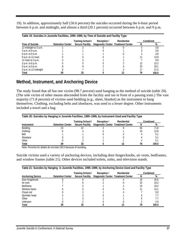19). In addition, approximately half (50.6 percent) the suicides occurred during the 6-hour period between 6 p.m. and midnight, and almost a third (29.1 percent) occurred between 6 p.m. and 9 p.m.

| Table 19: Suicides in Juvenile Facilities, 1995–1999, by Time of Suicide and Facility Type |                         |                        |                                    |             |    |          |  |  |
|--------------------------------------------------------------------------------------------|-------------------------|------------------------|------------------------------------|-------------|----|----------|--|--|
|                                                                                            |                         | Training School /      | Reception /                        | Residential |    | Combined |  |  |
| Time of Suicide                                                                            | <b>Detention Center</b> | <b>Secure Facility</b> | Diagnostic Center Treatment Center |             | N  | %        |  |  |
| 12 midnight to 3 a.m.                                                                      |                         |                        |                                    |             |    | 3.8      |  |  |
| $3$ a.m. to 6 a.m.                                                                         |                         |                        |                                    |             |    | 3.8      |  |  |
| $6$ a.m. to 9 a.m.                                                                         |                         |                        |                                    |             |    | 3.8      |  |  |
| 9 a.m. to 12 noon                                                                          |                         |                        |                                    |             |    | 13.9     |  |  |
| 12 noon to $3$ p.m.                                                                        |                         |                        |                                    |             |    | 8.9      |  |  |
| $3$ p.m. to 6 p.m.                                                                         |                         |                        |                                    |             |    | 15.2     |  |  |
| 6 p.m. to 9 p.m.                                                                           |                         |                        |                                    |             |    | 29.1     |  |  |
| 9 p.m. to 12 midnight                                                                      |                         |                        |                                    |             |    | 21.5     |  |  |
| Total                                                                                      |                         | 33                     |                                    |             | 79 | 100.0    |  |  |

#### **Method, Instrument, and Anchoring Device**

The study found that all but one victim (98.7 percent) used hanging as the method of suicide (table 20). (The sole victim of other means absconded from the facility and ran in front of a passing train.) The vast majority (71.8 percent) of victims used bedding (e.g., sheet, blanket) as the instrument to hang themselves. Clothing, excluding belts and shoelaces, was used to a lesser degree. Other instruments included a towel and a bag.

| Table 20: Suicides by Hanging in Juvenile Facilities, 1995–1999, by Instrument Used and Facility Type |                         |                        |                                    |             |    |          |  |
|-------------------------------------------------------------------------------------------------------|-------------------------|------------------------|------------------------------------|-------------|----|----------|--|
|                                                                                                       |                         | Training School /      | Reception /                        | Residential |    | Combined |  |
| Instrument                                                                                            | <b>Detention Center</b> | <b>Secure Facility</b> | Diagnostic Center Treatment Center |             | N  | %        |  |
| Bedding                                                                                               |                         |                        |                                    |             | 56 | 71.8     |  |
| Clothing                                                                                              |                         |                        |                                    |             |    | 12.8     |  |
| Belt                                                                                                  |                         |                        |                                    |             |    | 5.       |  |
| Shoelace                                                                                              |                         |                        |                                    |             |    | h.       |  |
| Other                                                                                                 |                         |                        |                                    |             |    | 5.       |  |
| Total                                                                                                 |                         | 32                     |                                    |             |    | 100.0    |  |

Note: Percents for details do not total 100.0 because of rounding.

Suicide victims used a variety of anchoring devices, including door hinges/knobs, air vents, bedframes, and window frames (table 21). Other devices included toilets, sinks, and television stands.

| Table 21: Suicides by Hanging in Juvenile Facilities, 1995–1999, by Anchoring Device Used and Facility Type |                         |                        |                                    |             |   |          |  |  |
|-------------------------------------------------------------------------------------------------------------|-------------------------|------------------------|------------------------------------|-------------|---|----------|--|--|
|                                                                                                             |                         | Training School /      | Reception /                        | Residential |   | Combined |  |  |
| <b>Anchoring Device</b>                                                                                     | <b>Detention Center</b> | <b>Secure Facility</b> | Diagnostic Center Treatment Center |             | N | %        |  |  |
| Door hinge/knob                                                                                             |                         |                        |                                    |             |   | 20.5     |  |  |
| Air vent                                                                                                    |                         |                        |                                    |             |   | 19.2     |  |  |
| <b>Bedframe</b>                                                                                             |                         |                        |                                    |             |   | 19.2     |  |  |
| Window frame                                                                                                |                         |                        |                                    |             |   | 14.1     |  |  |
| Closet rod                                                                                                  |                         |                        |                                    |             |   | 9.0      |  |  |
| Sprinkler head                                                                                              |                         |                        |                                    |             |   |          |  |  |
| Other                                                                                                       |                         |                        |                                    |             |   |          |  |  |
| Unknown                                                                                                     |                         |                        |                                    |             |   | 2.6      |  |  |
| Total                                                                                                       |                         | 32                     |                                    |             |   | 100.0    |  |  |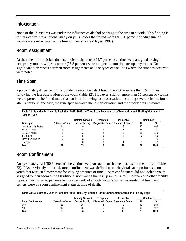#### **Intoxication**

None of the 79 victims was under the influence of alcohol or drugs at the time of suicide. This finding is in stark contrast to a national study on jail suicides that found more than 60 percent of adult suicide victims were intoxicated at the time of their suicide (Hayes, 1989).

#### **Room Assignment**

At the time of the suicide, the data indicate that most (74.7 percent) victims were assigned to single occupancy rooms, while a quarter (25.3 percent) were assigned to multiple occupancy rooms. No significant differences between room assignments and the types of facilities where the suicides occurred were noted.

#### **Time Span**

Approximately 41 percent of respondents stated that staff found the victim in less than 15 minutes following the last observation of the youth (table 22). However, slightly more than 15 percent of victims were reported to be found more than an hour following last observation, including several victims found after 3 hours. In one case, the time span between the last observation and the suicide was unknown.

| Table 22: Suicides in Juvenile Facilities, 1995–1999, by Time Span Between Last Observation and Finding Victim and<br><b>Facility Type</b> |                         |                        |                                    |             |    |          |  |  |
|--------------------------------------------------------------------------------------------------------------------------------------------|-------------------------|------------------------|------------------------------------|-------------|----|----------|--|--|
|                                                                                                                                            |                         | Training School /      | Reception /                        | Residential |    | Combined |  |  |
| Time Span                                                                                                                                  | <b>Detention Center</b> | <b>Secure Facility</b> | Diagnostic Center Treatment Center |             |    | %        |  |  |
| Less than 15 minutes                                                                                                                       |                         |                        |                                    |             | 32 | 40.5     |  |  |
| 15-30 minutes                                                                                                                              |                         |                        |                                    |             |    | 29.1     |  |  |
| 31-60 minutes                                                                                                                              |                         |                        |                                    |             |    | 13.9     |  |  |
| $1-3$ hours                                                                                                                                |                         |                        |                                    |             |    | 8.9      |  |  |
| More than 3 hours                                                                                                                          |                         |                        |                                    |             |    | 6.3      |  |  |
| <b>Unknown</b>                                                                                                                             |                         |                        |                                    |             |    |          |  |  |
| Total                                                                                                                                      |                         | 33                     |                                    |             |    | 100.0    |  |  |

#### **Room Confinement**

Approximately half (50.6 percent) the victims were on room confinement status at time of death (table 23).<sup>15</sup> As previously indicated, room confinement was defined as a behavioral sanction imposed on youth that restricted movement for varying amounts of time. Room confinement did not include youth assigned to their room during traditional nonwaking hours (9 p.m. to 6 a.m.). Compared to other facility types, a much smaller percentage (16.7 percent) of suicide victims housed in residential treatment centers were on room confinement status at time of death.

| Table 23: Suicides in Juvenile Facilities, 1995–1999, by Victim's Room Confinement Status and Facility Type |                                                             |                        |                                    |  |    |       |  |  |
|-------------------------------------------------------------------------------------------------------------|-------------------------------------------------------------|------------------------|------------------------------------|--|----|-------|--|--|
|                                                                                                             | Training School /<br>Residential<br>Combined<br>Reception / |                        |                                    |  |    |       |  |  |
| <b>Room Confinement</b>                                                                                     | <b>Detention Center</b>                                     | <b>Secure Facility</b> | Diagnostic Center Treatment Center |  | N  | %     |  |  |
| Yes                                                                                                         |                                                             |                        |                                    |  | 40 | 50.6  |  |  |
| N <sub>0</sub>                                                                                              |                                                             | 15                     |                                    |  | 39 | 49.4  |  |  |
| Total                                                                                                       | 29                                                          |                        |                                    |  | 70 | 100.0 |  |  |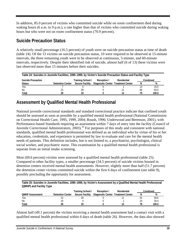In addition, 85.0 percent of victims who committed suicide while on room confinement died during waking hours (6 a.m. to 9 p.m.), a rate higher than that of victims who committed suicide during waking hours but who were not on room confinement status (70.9 percent).

#### **Suicide Precaution Status**

A relatively small percentage (16.5 percent) of youth were on suicide precaution status at time of death (table 24). Of the 13 victims on suicide precaution status, 10 were required to be observed at 15-minute intervals, the three remaining youth were to be observed at continuous, 5-minute, and 60-minute intervals, respectively. Despite their identified risk of suicide, almost half (6 of 13) these victims were last observed more than 15 minutes before their suicides.

| Table 24: Suicides in Juvenile Facilities, 1995–1999, by Victim's Suicide Precaution Status and Facility Type |                                                 |                        |                                    |  |          |       |  |  |
|---------------------------------------------------------------------------------------------------------------|-------------------------------------------------|------------------------|------------------------------------|--|----------|-------|--|--|
| <b>Suicide Precaution</b>                                                                                     | Training School /<br>Residential<br>Reception / |                        |                                    |  | Combined |       |  |  |
| <b>Status</b>                                                                                                 | <b>Detention Center</b>                         | <b>Secure Facility</b> | Diagnostic Center Treatment Center |  |          | %     |  |  |
| Yes                                                                                                           |                                                 |                        |                                    |  |          | 16.5  |  |  |
| <b>No</b>                                                                                                     |                                                 | 28                     |                                    |  | 66       | 83.5  |  |  |
| Total                                                                                                         | ንባ                                              | 33                     |                                    |  | 79       | 100.0 |  |  |

#### **Assessment by Qualified Mental Health Professional**

National juvenile correctional standards and standard correctional practice indicate that confined youth should be assessed as soon as possible by a qualified mental health professional (National Commission on Correctional Health Care, 1995, 1999, 2004; Roush, 1996; Underwood and Berenson, 2001), with Performance-based Standards requiring an assessment within 7 days of entry into the facility (Council of Juvenile Correctional Administrators, 2003).<sup>16</sup> For purposes of this study and consistent with national standards, qualified mental health professional was defined as an individual who by virtue of his or her education, credentials, and experience is permitted by law to evaluate and care for the mental health needs of patients. This definition includes, but is not limited to, a psychiatrist, psychologist, clinical social worker, and psychiatric nurse. This examination by a qualified mental health professional is separate from an initial intake screening.

Most (69.6 percent) victims were assessed by a qualified mental health professional (table 25). Compared to other facility types, a smaller percentage (34.5 percent) of suicide victims housed in detention centers received mental health assessments. However, slightly more than half (51.7 percent) the detention center victims committed suicide within the first 6 days of confinement (see table 9), possibly precluding the opportunity for assessment.

**Table 25: Suicides in Juvenile Facilities, 1995–1999, by Victim's Assessment by a Qualified Mental Health Professional (QMHP) and Facility Type** 

|                        |                         | Training School /      | Reception /                        | Residential |    | Combined |
|------------------------|-------------------------|------------------------|------------------------------------|-------------|----|----------|
| <b>OMHP Assessment</b> | <b>Detention Center</b> | <b>Secure Facility</b> | Diagnostic Center Treatment Center |             | N  | %        |
| Yes                    |                         | 29                     |                                    |             | 55 | 69.6     |
| No                     |                         |                        |                                    |             | 24 | 30.4     |
| Total                  | ንዐ                      | 33                     |                                    |             | 70 | 100.0    |

Almost half (49.1 percent) the victims receiving a mental health assessment had a contact visit with a qualified mental health professional within 6 days of death (table 26). However, the data also showed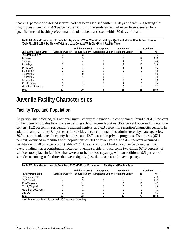that 20.0 percent of assessed victims had not been assessed within 30 days of death, suggesting that slightly less than half (44.3 percent) the victims in the study either had never been assessed by a qualified mental health professional or had not been assessed within 30 days of death.

**Table 26: Suicides in Juvenile Facilities by Victims Who Were Assessed by a Qualified Mental Health Professional (QMHP), 1995–1999, by Time of Victim's Last Contact With QMHP and Facility Type** 

|                               |                         | Training School /      | Reception /                        | Residential | Combined |       |
|-------------------------------|-------------------------|------------------------|------------------------------------|-------------|----------|-------|
| <b>Last Contact With QMHP</b> | <b>Detention Center</b> | <b>Secure Facility</b> | Diagnostic Center Treatment Center |             | N        | %     |
| Less than 24 hours            |                         |                        |                                    |             |          | 16.4  |
| $1-3$ days                    |                         |                        |                                    |             |          | 21.8  |
| 4-6 days                      |                         |                        |                                    |             |          | 10.9  |
| $7-13$ days                   |                         |                        |                                    |             |          | 21.8  |
| $14-30$ days                  |                         |                        |                                    |             |          | 9.1   |
| $1-2$ months                  |                         |                        |                                    |             |          | 5.5   |
| $3-4$ months                  |                         |                        |                                    |             |          | 0.0   |
| 5-6 months                    |                         |                        |                                    |             |          |       |
| 7-9 months                    |                         |                        |                                    |             |          |       |
| 10–12 months                  |                         |                        |                                    |             |          | 3.6   |
| More than 12 months           |                         |                        |                                    |             |          |       |
| Total                         |                         | 29                     |                                    |             | 55       | 100.0 |

### **Juvenile Facility Characteristics**

#### **Facility Type and Population**

As previously indicated, this national survey of juvenile suicides in confinement found that 41.8 percent of the juvenile suicides took place in training school/secure facilities, 36.7 percent occurred in detention centers, 15.2 percent in residential treatment centers, and 6.3 percent in reception/diagnostic centers. In addition, almost half (48.1 percent) the suicides occurred in facilities administered by state agencies, 39.2 percent took place in county facilities, and 12.7 percent in private programs. Two-thirds (67.1 percent) occurred in facilities with populations of 200 or fewer youth, and 41.8 percent occurred in facilities with 50 or fewer youth (table 27).<sup>17</sup> The study did not find any evidence to suggest that overcrowding was a contributing factor to juvenile suicide. In fact, some two-thirds (67.6 percent) of suicides took place in facilities that were at or below bed capacity, with an additional 9.5 percent of suicides occurring in facilities that were slightly (less than 10 percent) over capacity.

| Table 27: Suicides in Juvenile Facilities, 1995–1999, by Population of Facility and Facility Type |                         |                        |                                    |             |    |          |  |  |
|---------------------------------------------------------------------------------------------------|-------------------------|------------------------|------------------------------------|-------------|----|----------|--|--|
|                                                                                                   |                         | Training School /      | Reception /                        | Residential |    | Combined |  |  |
| <b>Facility Population</b>                                                                        | <b>Detention Center</b> | <b>Secure Facility</b> | Diagnostic Center Treatment Center |             | N  | %        |  |  |
| 50 or fewer youth                                                                                 | 20                      |                        |                                    |             | 33 | 41.8     |  |  |
| 51-200 youth                                                                                      |                         |                        |                                    |             | 20 | 25.3     |  |  |
| 201-500 youth                                                                                     |                         |                        |                                    |             | 13 | 16.5     |  |  |
| 501-1,000 youth                                                                                   |                         |                        |                                    |             |    | 8.9      |  |  |
| More than 1,000 youth                                                                             |                         |                        |                                    |             |    |          |  |  |
| <b>Unknown</b>                                                                                    |                         |                        |                                    |             |    | 6.3      |  |  |
| Total                                                                                             |                         |                        |                                    |             | 79 | 100.0    |  |  |

Note: Percents for details do not total 100.0 because of rounding.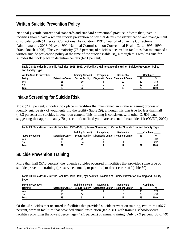#### **Written Suicide Prevention Policy**

National juvenile correctional standards and standard correctional practice indicate that juvenile facilities should have a written suicide prevention policy that details the identification and management of suicidal youth (American Correctional Association, 1991; Council of Juvenile Correctional Administrators, 2003; Hayes, 1999; National Commission on Correctional Health Care, 1995, 1999, 2004; Roush, 1996). The vast majority (78.5 percent) of suicides occurred in facilities that maintained a written suicide prevention policy at the time of the suicide (table 28), although this was less true for suicides that took place in detention centers  $(62.1$  percent).

| Table 28: Suicides in Juvenile Facilities, 1995-1999, by Facility's Maintenance of a Written Suicide Prevention Policy<br>and Facility Type |                         |                        |                                    |             |    |          |  |  |
|---------------------------------------------------------------------------------------------------------------------------------------------|-------------------------|------------------------|------------------------------------|-------------|----|----------|--|--|
| <b>Written Suicide Prevention</b>                                                                                                           |                         | Training School /      | Reception /                        | Residential |    | Combined |  |  |
| Policy                                                                                                                                      | <b>Detention Center</b> | <b>Secure Facility</b> | Diagnostic Center Treatment Center |             | N  | %        |  |  |
| Yes                                                                                                                                         |                         | 30                     |                                    |             | 62 | 78.5     |  |  |
| No.                                                                                                                                         |                         |                        |                                    |             |    | 21.5     |  |  |
| Total                                                                                                                                       | 29                      | 33                     |                                    |             | 79 | 100.0    |  |  |

#### **Intake Screening for Suicide Risk**

Most (70.9 percent) suicides took place in facilities that maintained an intake screening process to identify suicide risk of youth entering the facility (table 29), although this was true for less than half (48.3 percent) the suicides in detention centers. This finding is consistent with other OJJDP data suggesting that approximately 70 percent of confined youth are screened for suicide risk (OJJDP, 2002).

| Table 29: Suicides in Juvenile Facilities, 1995–1999, by Intake Screening of Victim for Suicide Risk and Facility Type |                         |                                                 |                                    |  |    |          |  |  |
|------------------------------------------------------------------------------------------------------------------------|-------------------------|-------------------------------------------------|------------------------------------|--|----|----------|--|--|
|                                                                                                                        |                         | Training School /<br>Reception /<br>Residential |                                    |  |    | Combined |  |  |
| Intake Screening                                                                                                       | <b>Detention Center</b> | <b>Secure Facility</b>                          | Diagnostic Center Treatment Center |  | N  | %        |  |  |
| <b>Yes</b>                                                                                                             | 14                      |                                                 |                                    |  | 56 | 70.9     |  |  |
| No                                                                                                                     | 15                      |                                                 |                                    |  | 23 | 29.1     |  |  |
| Total                                                                                                                  | ንዓ                      | 33                                              |                                    |  | 79 | 100.0    |  |  |

#### **Suicide Prevention Training**

More than half (57.0 percent) the juvenile suicides occurred in facilities that provided some type of suicide prevention training (pre-service, annual, or periodic) to direct care staff (table 30).

| Table 30: Suicides in Juvenile Facilities, 1995-1999, by Facility's Provision of Suicide Prevention Training and Facility<br>Type |                         |                                             |                                                   |             |    |               |  |
|-----------------------------------------------------------------------------------------------------------------------------------|-------------------------|---------------------------------------------|---------------------------------------------------|-------------|----|---------------|--|
| <b>Suicide Prevention</b><br>Training                                                                                             | <b>Detention Center</b> | Training School /<br><b>Secure Facility</b> | Reception /<br>Diagnostic Center Treatment Center | Residential | N  | Combined<br>% |  |
| Yes                                                                                                                               |                         | 19                                          |                                                   |             | 45 | 57.0          |  |
| <b>No</b>                                                                                                                         |                         | 14                                          |                                                   |             | 34 | 43.0          |  |
| Total                                                                                                                             | 29                      |                                             |                                                   |             | 79 | 100.0         |  |

Of the 45 suicides that occurred in facilities that provided suicide prevention training, two-thirds (66.7 percent) were in facilities that provided annual instruction (table 31), with training schools/secure facilities providing the lowest percentage (42.1 percent) of annual training. Only 37.9 percent (30 of 79)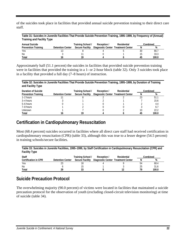of the suicides took place in facilities that provided annual suicide prevention training to their direct care staff.

**Table 31: Suicides in Juvenile Facilities That Provide Suicide Prevention Training, 1995–1999, by Frequency of (Annual) Training and Facility Type** 

| <b>Annual Suicide</b>      |                         | Training School /      | Reception /                        | Residential |    | Combined |
|----------------------------|-------------------------|------------------------|------------------------------------|-------------|----|----------|
| <b>Prevention Training</b> | <b>Detention Center</b> | <b>Secure Facility</b> | Diagnostic Center Treatment Center |             |    | %        |
| Yes                        |                         |                        |                                    |             | 30 | 66.      |
| No.                        |                         |                        |                                    |             |    | 33.3     |
| Total                      |                         | 10                     |                                    |             | 45 | 100.0    |

Approximately half (51.1 percent) the suicides in facilities that provided suicide prevention training were in facilities that provided the training in a 1- or 2-hour block (table 32). Only 3 suicides took place in a facility that provided a full day (7–8 hours) of instruction.

**Table 32: Suicides in Juvenile Facilities That Provide Suicide Prevention Training, 1995–1999, by Duration of Training and Facility Type** 

| Duration of Suicide        |                         | Training School /      | Reception /                        | Residential |    | Combined |
|----------------------------|-------------------------|------------------------|------------------------------------|-------------|----|----------|
| <b>Prevention Training</b> | <b>Detention Center</b> | <b>Secure Facility</b> | Diagnostic Center Treatment Center |             | N  | %        |
| $1-2$ hours                |                         |                        |                                    |             |    | 51.7     |
| 3–4 hours                  |                         |                        |                                    |             |    | 15.6     |
| 5-6 hours                  |                         |                        |                                    |             |    | 4.4      |
| 7-8 hours                  |                         |                        |                                    |             |    | 6.1      |
| <b>Unknown</b>             |                         |                        |                                    |             |    | 22.2     |
| Total                      |                         |                        |                                    |             | 45 | 100.0    |

#### **Certification in Cardiopulmonary Resuscitation**

Most (68.4 percent) suicides occurred in facilities where all direct care staff had received certification in cardiopulmonary resuscitation (CPR) (table 33), although this was true to a lesser degree (54.5 percent) in training schools/secure facilities.

| Table 33: Suicides in Juvenile Facilities, 1995–1999, by Staff Certification in Cardiopulmonary Resuscitation (CPR) and<br><b>Facility Type</b> |                         |                                             |                                                   |             |    |               |
|-------------------------------------------------------------------------------------------------------------------------------------------------|-------------------------|---------------------------------------------|---------------------------------------------------|-------------|----|---------------|
| <b>Staff</b><br><b>Certification in CPR</b>                                                                                                     | <b>Detention Center</b> | Training School /<br><b>Secure Facility</b> | Reception /<br>Diagnostic Center Treatment Center | Residential | N  | Combined<br>% |
| Yes                                                                                                                                             |                         | 18                                          |                                                   |             | 54 | 68.4          |
| No                                                                                                                                              |                         | 15                                          |                                                   |             | 25 | 31.6          |
| Total                                                                                                                                           | 29                      | 33                                          |                                                   |             | 70 | 100.0         |

#### **Suicide Precaution Protocol**

The overwhelming majority (90.0 percent) of victims were located in facilities that maintained a suicide precaution protocol for the observation of youth (excluding closed-circuit television monitoring) at time of suicide (table 34).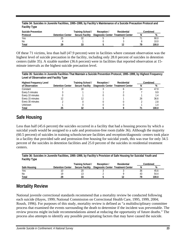| Table 34: Suicides in Juvenile Facilities, 1995–1999, by Facility's Maintenance of a Suicide Precaution Protocol and<br><b>Facility Type</b> |                         |                        |                                    |             |    |          |
|----------------------------------------------------------------------------------------------------------------------------------------------|-------------------------|------------------------|------------------------------------|-------------|----|----------|
| <b>Suicide Prevention</b>                                                                                                                    |                         | Training School /      | Reception /                        | Residential |    | Combined |
| Protocol                                                                                                                                     | <b>Detention Center</b> | <b>Secure Facility</b> | Diagnostic Center Treatment Center |             | N  | %        |
| Yes                                                                                                                                          | 25                      |                        |                                    |             |    | 90.0     |
| No                                                                                                                                           |                         |                        |                                    |             |    | 10.0     |
| Total                                                                                                                                        | 29                      | 33                     |                                    |             | 70 | 100.0    |

Of these 71 victims, less than half (47.9 percent) were in facilities where constant observation was the highest level of suicide precaution in the facility, including only 28.0 percent of suicides in detention centers (table 35). A sizable number (36.6 percent) were in facilities that reported observation at 15 minute intervals as the highest suicide precaution level.

**Table 35: Suicides in Juvenile Facilities That Maintain a Suicide Prevention Protocol, 1995–1999, by Highest Frequency Level of Observation and Facility Type** 

| <b>Highest Frequency Level</b> |                         | Training School /      | Reception /                        | Residential |    | Combined |
|--------------------------------|-------------------------|------------------------|------------------------------------|-------------|----|----------|
| of Observation                 | <b>Detention Center</b> | <b>Secure Facility</b> | Diagnostic Center Treatment Center |             |    | %        |
| Constant                       |                         | 18                     |                                    |             | 34 | 47.9     |
| Every 5 minutes                |                         |                        |                                    |             |    | 9.9      |
| Every 10 minutes               |                         |                        |                                    |             |    |          |
| Every 15 minutes               |                         |                        |                                    |             | 26 | 36.6     |
| Every 30 minutes               |                         |                        |                                    |             |    | 2.8      |
| Unknown                        |                         |                        |                                    |             |    |          |
| Total                          |                         |                        |                                    |             |    | 100.0    |

#### **Safe Housing**

Less than half (45.6 percent) the suicides occurred in a facility that had a housing process by which a suicidal youth would be assigned to a safe and protrusion-free room (table 36). Although the majority (60.5 percent) of suicides in training schools/secure facilities and reception/diagnostic centers took place in a facility that provided safe and protrusion-free housing for suicidal youth, this was true for only 34.5 percent of the suicides in detention facilities and 25.0 percent of the suicides in residential treatment centers.

**Table 36: Suicides in Juvenile Facilities, 1995–1999, by Facility's Provision of Safe Housing for Suicidal Youth and Facility Type** 

|              |                         | Training School /      | Reception /                        | Residential |     | Combined |
|--------------|-------------------------|------------------------|------------------------------------|-------------|-----|----------|
| Safe Housing | <b>Detention Center</b> | <b>Secure Facility</b> | Diagnostic Center Treatment Center |             |     | %        |
| Yes          |                         | 20                     |                                    |             | .36 | 45.6     |
| <b>No</b>    |                         |                        |                                    |             |     | 54.4     |
| Total        | ንባ                      | २२                     |                                    |             | 70  | 100.0    |

#### **Mortality Review**

National juvenile correctional standards recommend that a mortality review be conducted following each suicide (Hayes, 1999; National Commission on Correctional Health Care, 1995, 1999, 2004; Roush, 1996). For purposes of this study, mortality review is defined as "a multidisciplinary committee process that examined the events surrounding the death to determine if the incident was preventable. The review process might include recommendations aimed at reducing the opportunity of future deaths." The process also attempts to identify any possible precipitating factors that may have caused the suicide.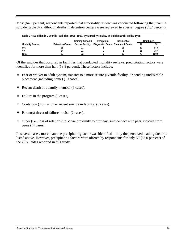Most (64.6 percent) respondents reported that a mortality review was conducted following the juvenile suicide (table 37), although deaths in detention centers were reviewed to a lesser degree (51.7 percent).

| Table 37: Suicides in Juvenile Facilities, 1995–1999, by Mortality Review of Suicide and Facility Type |                         |                        |                                    |             |    |          |
|--------------------------------------------------------------------------------------------------------|-------------------------|------------------------|------------------------------------|-------------|----|----------|
|                                                                                                        |                         | Training School /      | Reception /                        | Residential |    | Combined |
| <b>Mortality Review</b>                                                                                | <b>Detention Center</b> | <b>Secure Facility</b> | Diagnostic Center Treatment Center |             | N  | %        |
| Yes                                                                                                    |                         |                        |                                    |             | 51 | 64.6     |
| No.                                                                                                    | 14                      |                        |                                    |             | 28 | 35.4     |
| Total                                                                                                  | 29                      | 33                     |                                    |             | 70 | 100.0    |

Of the suicides that occurred in facilities that conducted mortality reviews, precipitating factors were identified for more than half (58.8 percent). These factors include:

- Fear of waiver to adult system, transfer to a more secure juvenile facility, or pending undesirable placement (including home) (10 cases).
- $\triangleleft$  Recent death of a family member (6 cases).
- $\div$  Failure in the program (5 cases).
- $\triangleleft$  Contagion (from another recent suicide in facility) (3 cases).
- $\triangleleft$  Parent(s) threat of/failure to visit (2 cases).
- Other (i.e., loss of relationship, close proximity to birthday, suicide pact with peer, ridicule from peers) (4 cases).

In several cases, more than one precipitating factor was identified—only the perceived leading factor is listed above. However, precipitating factors were offered by respondents for only 30 (38.0 percent) of the 79 suicides reported in this study.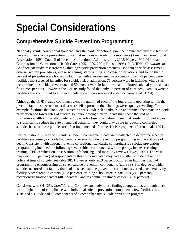## **Special Considerations**

## **Comprehensive Suicide Prevention Programming**

National juvenile correctional standards and standard correctional practice require that juvenile facilities have a written suicide prevention policy that includes a variety of components (American Correctional Association, 1991; Council of Juvenile Correctional Administrators, 2003; Hayes, 1999; National Commission on Correctional Health Care, 1995, 1999, 2004; Roush, 1996). In OJJDP's *Conditions of Confinement* study, researchers evaluating suicide prevention practices used four specific assessment criteria (written procedures, intake screening, staff training, and close observation), and found that 89 percent of juveniles were housed in facilities with a written suicide prevention plan, 72 percent were in facilities that screened juveniles for suicide risk at admission, 75 percent were in facilities where staff were trained in suicide prevention, and 50 percent were in facilities that monitored suicidal youth at least four times per hour. However, the OJJDP study found that only 25 percent of confined juveniles were in facilities that conformed to all four suicide prevention assessment criteria (Parent et al., 1994).

Although the OJJDP study could not assess the quality of each of the four criteria operating within the juvenile facilities because most data were self-reported, other findings were equally revealing. For example, facilities that conducted screening for suicide risk at admission and trained their staff in suicide prevention had lower rates of suicidal behavior among their residents than those that did not. Furthermore, although written policies to provide close observation of suicidal residents did not appear to significantly reduce the rate of suicidal behavior, they could play a role in reducing completed suicides because these policies are often implemented after the risk is recognized (Parent et al., 1994).

For this national survey of juvenile suicide in confinement, data were collected to determine whether facilities sustaining a suicide had comprehensive suicide prevention programming in place at time of death. Consistent with national juvenile correctional standards, comprehensive suicide prevention programming included the following seven critical components: written policy, intake screening, training, CPR certification, observation, safe housing, and mortality review (Hayes, 1999). The vast majority (78.5 percent) of respondents in this study indicated they had a written suicide prevention policy at time of suicide (see table 28). However, only 20.3 percent occurred in facilities that had programming encompassing all seven suicide prevention components (table 38). The degree to which suicides occurred in a facility that had all seven suicide prevention components varied considerably by facility type: detention centers (10.3 percent), training schools/secure facilities (24.2 percent), reception/diagnostic centers (40.0 percent), and residential treatment centers (25.0 percent).

Consistent with OJJDP's *Conditions of Confinement* study, these findings suggest that, although there was a higher rate of compliance with individual suicide prevention components, few facilities that sustained a suicide had all components of a comprehensive suicide prevention program.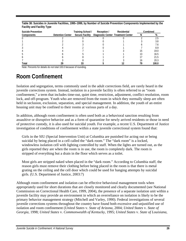| <b>Suicide Prevention</b> |                         | Training School /      | Reception /                        | Residential |    | Combined |
|---------------------------|-------------------------|------------------------|------------------------------------|-------------|----|----------|
| Components                | <b>Detention Center</b> | <b>Secure Facility</b> | Diagnostic Center Treatment Center |             |    | %        |
|                           |                         |                        |                                    |             |    | 2.5      |
|                           |                         |                        |                                    |             |    | 3.8      |
|                           |                         |                        |                                    |             |    | 1.6      |
|                           |                         |                        |                                    |             |    | 8.9      |
|                           |                         |                        |                                    |             |    | 19.0     |
|                           |                         |                        |                                    |             |    | 16.5     |
|                           |                         |                        |                                    |             |    | 21.5     |
|                           |                         |                        |                                    |             | ١6 | 20.3     |
| Total                     |                         |                        |                                    |             |    | 100.0    |

**Table 38: Suicides in Juvenile Facilities, 1995–1999, by Number of Suicide Prevention Components Implemented by the Facility and Facility Type** 

Note: Percents for details do not total 100.0 because of rounding.

### **Room Confinement**

Isolation and segregation, terms commonly used in the adult corrections field, are rarely heard in the juvenile corrections system. Instead, isolation in a juvenile facility is often referred to as "room confinement," a term that includes time-out, quiet time, restriction, adjustment, conflict resolution, room lock, and off-program. Youth who are removed from the room in which they normally sleep are often held in seclusion, exclusion, separation, and special management. In addition, the youth of an entire housing unit may be confined to their rooms at various parts of a day.

In addition, although room confinement is often used both as a behavioral sanction resulting from assaultive or disruptive behavior and as a form of quarantine for newly arrived residents or those in need of protective custody, it is also used for suicidal youth. For example, a recent U.S. Department of Justice investigation of conditions of confinement within a state juvenile correctional system found that:

Girls in the SIU (Special Intervention Unit) at Columbia are punished for acting out or being suicidal by being placed in a cell called the "dark room." The "dark room" is a locked, windowless isolation cell with lighting controlled by staff. When the lights are turned out, as the girls reported they are when the room is in use, the room is completely dark. The room is stripped of everything but a drain in the floor which serves as a toilet.

Most girls are stripped naked when placed in the "dark room." According to Columbia staff, the reason girls must remove their clothing before being placed in the room is that there is metal grating on the ceiling and the cell door which could be used for hanging attempts by suicidal girls. (U.S. Department of Justice, 2003:7)

Although room confinement and isolation can be effective behavioral management tools when appropriately used for short durations that are closely monitored and clearly documented (see National Commission on Correctional Health Care, 1999, 2004), the presence of a separate isolation unit within a juvenile facility may provide an environment in which an overreliance on isolation is likely to be the primary behavior management strategy (Mitchell and Varley, 1990). Federal investigations of several juvenile corrections systems throughout the country have found both excessive and unjustified use of isolation and room confinement (*United States* v. *State of Arizona,* 2004; *United States* v. *State of Georgia,* 1998; *United States* v. *Commonwealth of Kentucky,* 1995; *United States* v. *State of Louisiana,*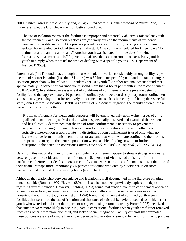2000; *United States* v. *State of Maryland,* 2004; *United States* v. *Commonwealth of Puerto Rico,* 1997). In one example, the U.S. Department of Justice found that:

The use of isolation rooms at the facilities is improper and potentially abusive. Staff isolate youth far too frequently and isolation practices are generally outside the requirements of residential treatment or facility security. Due process procedures are significantly lacking and youth are isolated for extended periods of time to suit the staff. One youth was isolated for fifteen days "for acting out and planning an escape." Another youth was isolated for three days for being "sarcastic with a smart mouth." In practice, staff use the isolation rooms to excessively punish youth or simply when the staff are tired of dealing with a specific youth (U.S. Department of Justice, 1995:3).

Parent et al. (1994) found that, although the use of isolation varied considerably among facility types, the rate of shorter isolation (less than 24 hours) was 57 incidents per 100 youth and the rate of longer isolation (more than 24 hours) was 11 incidents per 100 youth.<sup>18</sup> Another national census found that approximately 17 percent of confined youth spend more than 4 hours per month in room confinement (OJJDP, 2002). In addition, an assessment of conditions of confinement in one juvenile detention facility found that approximately 10 percent of confined youth were on disciplinary room confinement status on any given day, often for relatively minor incidents such as horseplay and being disrespectful to staff (John Howard Association, 1998). As a result of subsequent litigation, the facility entered into a consent decree requiring that:

[R]oom confinement for therapeutic purposes will be employed only upon written order of a . . . qualified mental health professional . . . who has personally observed and examined the resident and has clinically determined that the use of room confinement is necessary to prevent the recipient from causing imminent physical harm to himself or others, and that no other less restrictive intervention is appropriate . . . disciplinary room confinement is used only when no less restrictive form of punishment is appropriate, and that youth who are confined to their rooms are permitted to rejoin the general population when capable of doing so without further disruption to the detention operations (*Jimmy Doe et al.* v. *Cook County et al.,* 2002:23, 34–35).

Data from this national survey of juvenile suicide in confinement appear to show a strong relationship between juvenile suicide and room confinement—62 percent of victims had a history of room confinement before their death and 50 percent of victims were on room confinement status at the time of their death. Perhaps more importantly, 85 percent of victims who died by suicide while on room confinement status died during waking hours (6 a.m. to 9 p.m.).

Although the relationship between suicide and isolation is well documented in the literature on adult inmate suicide (Bonner, 1992; Hayes, 1989), the issue has not been previously explored in depth regarding juvenile suicide. However, Liebling (1993) found that suicidal youth in confinement appeared to feel more isolated, received fewer visits, wrote fewer letters, and missed loved ones more than nonsuicidal youth in custody. Parent et al. (1994) found that 77 percent of confined youth were in facilities that permitted the use of isolation and that rates of suicidal behavior appeared to be higher for youth who were isolated from their peers or assigned to single room housing. Porter (1996) theorized that suicides were more likely to occur in juvenile correctional facilities when youth are further removed from each other, were more alienated, and lacked social integration. Facility officials that promoted these policies were clearly more likely to experience higher rates of suicidal behavior. Similarly, policies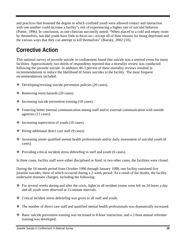and practices that lessened the degree to which confined youth were allowed contact and interaction with one another could increase a facility's risk of experiencing a higher rate of suicidal behavior (Porter, 1996). In conclusion, as one clinician succinctly noted: "When placed in a cold and empty room by themselves, suicidal youth have little to focus on—except all of their reasons for being depressed and the various ways that they can attempt to kill themselves" (Boesky, 2002:210).

## **Corrective Action**

This national survey of juvenile suicide in confinement found that suicide was a seminal event for many facilities. Approximately two-thirds of respondents reported that a mortality review was conducted following the juvenile suicide. In addition, 86.3 percent of these mortality reviews resulted in recommendations to reduce the likelihood of future suicides in the facility. The most frequent recommendations included:

- $\triangleleft$  Developing/revising suicide prevention policies (20 cases).
- $\triangleleft$  Removing room hazards (20 cases).
- $\div$  Increasing suicide prevention training (18 cases).
- Fostering better internal communication among staff and/or external communication with outside agencies (11 cases).
- $\triangleleft$  Increasing supervision of youth (10 cases).
- $\div$  Hiring additional direct care staff (9 cases).
- $\cdot$  Increasing onsite qualified mental health professionals and/or daily assessment of suicidal youth (8) cases).
- $\bullet$  Providing critical incident stress debriefing to staff and youth (6 cases).

In three cases, facility staff were either disciplined or fired; in two other cases, the facilities were closed.

During the 16-month period from October 1996 through January 1998, one facility sustained five juvenile suicides, three of which occurred during a 2-week period. As a result of the deaths, the facility underwent dramatic changes, including the following:

- For several weeks during and after the crisis, lights in all resident rooms were left on 24 hours a day and all youth were observed at 15-minute intervals.
- Critical incident stress debriefing was given to all staff and youth.
- The number of direct care staff and qualified mental health professionals was dramatically increased.
- Basic suicide prevention training was increased to 8-hour instruction, and a 2-hour annual refresher training was developed.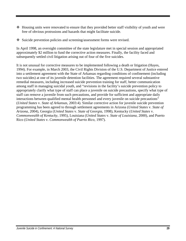- Housing units were renovated to ensure that they provided better staff visibility of youth and were free of obvious protrusions and hazards that might facilitate suicide.
- Suicide prevention policies and screening/assessment forms were revised.

In April 1998, an oversight committee of the state legislature met in special session and appropriated approximately \$2 million to fund the corrective action measures. Finally, the facility faced and subsequently settled civil litigation arising out of four of the five suicides.

It is not unusual for corrective measures to be implemented following a death or litigation (Hayes, 1994). For example, in March 2003, the Civil Rights Division of the U.S. Department of Justice entered into a settlement agreement with the State of Arkansas regarding conditions of confinement (including two suicides) at one of its juvenile detention facilities. The agreement required several substantive remedial measures, including increased suicide prevention training for staff, better communication among staff in managing suicidal youth, and "revisions in the facility's suicide prevention policy to appropriately clarify what type of staff can place a juvenile on suicide precautions, specify what type of staff can remove a juvenile from such precautions, and provide for sufficient and appropriate daily interactions between qualified mental health personnel and every juvenile on suicide precautions" (*United States* v. *State of Arkansas,* 2003:4). Similar corrective action for juvenile suicide prevention programming has been agreed to through settlement agreements in Arizona (*United States* v. *State of Arizona,* 2004), Georgia (*United States* v. *State of Georgia,* 1998), Kentucky (*United States* v. *Commonwealth of Kentucky,* 1995), Louisiana (*United States* v. *State of Louisiana,* 2000), and Puerto Rico (*United States* v. *Commonwealth of Puerto Rico,* 1997).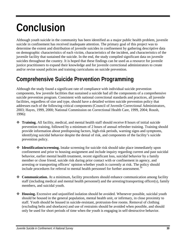## **Conclusion**

Although youth suicide in the community has been identified as a major public health problem, juvenile suicide in confinement has received inadequate attention. The primary goal of this project was to determine the extent and distribution of juvenile suicides in confinement by gathering descriptive data on demographic characteristics of each victim, characteristics of the incident, and characteristics of the juvenile facility that sustained the suicide. In the end, the study compiled significant data on juvenile suicides throughout the country. It is hoped that these findings can be used as a resource for juvenile justice practitioners to expand their knowledge and for juvenile correctional administrators to create and/or revise sound policies and training curriculums on suicide prevention.

### **Comprehensive Suicide Prevention Programming**

Although the study found a significant rate of compliance with individual suicide prevention components, few juvenile facilities that sustained a suicide had all the components of a comprehensive suicide prevention program. Consistent with national correctional standards and practices, all juvenile facilities, regardless of size and type, should have a detailed written suicide prevention policy that addresses each of the following critical components (Council of Juvenile Correctional Administrators, 2003; Hayes, 1999, 2000; National Commission on Correctional Health Care, 1999, 2004; Roush, 1996):

- **Training.** All facility, medical, and mental health staff should receive 8 hours of initial suicide prevention training, followed by a minimum of 2 hours of annual refresher training. Training should provide information about predisposing factors, high-risk periods, warning signs and symptoms, identifying suicidal behavior despite the denial of risk, and components of the facility's suicide prevention policy.
- **Identification/screening.** Intake screening for suicide risk should take place immediately upon confinement and prior to housing assignment and include inquiry regarding current and past suicidal behavior, earlier mental health treatment, recent significant loss, suicidal behavior by a family member or close friend, suicide risk during prior contact with or confinement in agency, and arresting or transporting officers' opinion whether youth is currently at risk. The policy should include procedures for referral to mental health personnel for further assessment.<sup>1</sup>
- ◆ **Communication.** At a minimum, facility procedures should enhance communication among facility staff (including medical and mental health personnel) and the arresting/transporting officer(s), family members, and suicidal youth.
- **Housing.** Excessive and unjustified isolation should be avoided. Whenever possible, suicidal youth should be housed in the general population, mental health unit, or infirmary, in close proximity to staff. Youth should be housed in suicide-resistant, protrusion-free rooms. Removal of clothing (excluding belts and shoelaces) and use of restraints should be avoided when possible, and should only be used for short periods of time when the youth is engaging in self-destructive behavior.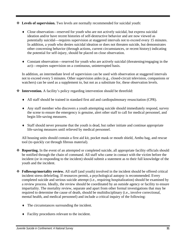- **Levels of supervision.** Two levels are normally recommended for suicidal youth:
	- ♦ Close observation—reserved for youth who are not actively suicidal, but express suicidal ideation and/or have recent histories of self-destructive behavior and are now viewed as potentially suicidal—requires supervision at staggered intervals not to exceed every 15 minutes. In addition, a youth who denies suicidal ideation or does not threaten suicide, but demonstrates other concerning behavior (through actions, current circumstances, or recent history) indicating the potential for self-injury, should be placed on close observation.
	- ♦ Constant observation—reserved for youth who are actively suicidal (threatening/engaging in the act)—requires supervision on a continuous, uninterrupted basis.

In addition, an intermediate level of supervision can be used with observation at staggered intervals not to exceed every 5 minutes. Other supervision aides (e.g., closed-circuit television, companions or watchers) can be used as a supplement to, but not as a substitute for, these observation levels.

- **Intervention.** A facility's policy regarding intervention should be threefold:
	- ♦ All staff should be trained in standard first aid and cardiopulmonary resuscitation (CPR).
	- ♦ Any staff member who discovers a youth attempting suicide should immediately respond, survey the scene to ensure the emergency is genuine, alert other staff to call for medical personnel, and begin life-saving measures.
	- ♦ Staff should never presume that the youth is dead, but rather initiate and continue appropriate life-saving measures until relieved by medical personnel.

All housing units should contain a first aid kit, pocket mask or mouth shield, Ambu bag, and rescue tool (to quickly cut through fibrous material).

- **Reporting.** In the event of an attempted or completed suicide, all appropriate facility officials should be notified through the chain of command. All staff who came in contact with the victim before the incident (or in responding to the incident) should submit a statement as to their full knowledge of the youth and the incident.
- **Followup/mortality review.** All staff (and youth) involved in the incident should be offered critical incident stress debriefing. If resources permit, a psychological autopsy is recommended. Every completed suicide and serious suicide attempt (i.e., requiring hospitalization) should be examined by a review process. Ideally, the review should be coordinated by an outside agency or facility to ensure impartiality. The mortality review, separate and apart from other formal investigations that may be required to determine the cause of death, should be multidisciplinary (i.e., involve correctional, mental health, and medical personnel) and include a critical inquiry of the following:
	- The circumstances surrounding the incident.
	- ♦ Facility procedures relevant to the incident.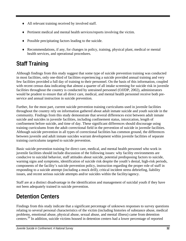- ♦ All relevant training received by involved staff.
- ♦ Pertinent medical and mental health services/reports involving the victim.
- Possible precipitating factors leading to the suicide.
- ♦ Recommendations, if any, for changes in policy, training, physical plant, medical or mental health services, and operational procedures.

## **Staff Training**

Although findings from this study suggest that some type of suicide prevention training was conducted in most facilities, only one-third of facilities experiencing a suicide provided annual training and very few facilities provided a full day of training to their personnel. On the basis of this information, coupled with recent census data indicating that almost a quarter of all intake screening for suicide risk in juvenile facilities throughout the country is conducted by untrained personnel (OJJDP, 2002), administrators would be prudent to ensure that all direct care, medical, and mental health personnel receive both preservice and annual instruction in suicide prevention.

Further, for the most part, current suicide prevention training curriculums used in juvenile facilities throughout the country rely on information gathered about adult inmate suicide and youth suicide in the community. Findings from this study demonstrate that several differences exist between adult inmate suicide and suicides in juvenile facilities, including confinement status, intoxication, length of confinement before suicide, and time of day. These significant differences should discourage using training curriculums from the adult correctional field in the prevention of suicide in juvenile facilities. Although suicide prevention in all types of correctional facilities has common ground, the differences between juvenile and adult inmate suicides warrant development within juvenile facilities of separate training curriculums targeted to suicide prevention.

Basic suicide prevention training for direct care, medical, and mental health personnel who work in juvenile facilities should include discussion of the following issues: why facility environments are conducive to suicidal behavior, staff attitudes about suicide, potential predisposing factors to suicide, warning signs and symptoms, identification of suicide risk despite the youth's denial, high-risk periods, components of the facility's suicide prevention policy, instruction regarding the proper role of staff in responding to a suicide attempt (including a mock drill), critical incident stress debriefing, liability issues, and recent serious suicide attempts and/or suicides within the facility/agency.

Staff are at a distinct disadvantage in the identification and management of suicidal youth if they have not been adequately trained in suicide prevention.

## **Detention Centers**

Findings from this study indicate that a significant percentage of unknown responses to survey questions relating to several personal characteristics of the victim (including histories of substance abuse, medical problems, emotional abuse, physical abuse, sexual abuse, and mental illness) came from detention centers.20 In addition, suicide victims housed in detention centers had a lower percentage of reported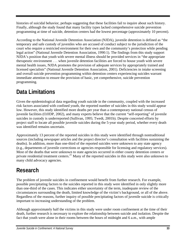histories of suicidal behavior, perhaps suggesting that these facilities fail to inquire about such history. Finally, although the study found that many facility types lacked comprehensive suicide prevention programming at time of suicide, detention centers had the lowest percentage (approximately 10 percent).

According to the National Juvenile Detention Association (NJDA), juvenile detention is defined as "the temporary and safe custody of juveniles who are accused of conduct subject to the jurisdiction of the court who require a restricted environment for their own and the community's protection while pending legal action" (National Juvenile Detention Association, 1990:1). The findings from this study support NJDA's position that youth with severe mental illness should be provided services in "the appropriate therapeutic environment . . . when juvenile detention facilities are forced to house youth with severe mental health issues, NJDA promotes the provision of adequate services by appropriately trained and licensed specialists" (National Juvenile Detention Association, 2001). Deficiencies in intake screening and overall suicide prevention programming within detention centers experiencing suicides warrant immediate attention to ensure the provision of basic, yet comprehensive, suicide prevention programming.

## **Data Limitations**

Given the epidemiological data regarding youth suicide in the community, coupled with the increased risk factors associated with confined youth, the reported number of suicides in this study would appear low. However, this study identified more deaths per year than a contemporary national census of juvenile facilities (OJJDP, 2002), and many experts believe that the current "self-reporting" of juvenile suicides in custody is underreported (Sullivan, 1995; Twedt, 2001b). Despite concerted efforts by project staff to locate all possible juvenile suicides during the 5-year study period, whether every death was identified remains uncertain.

Approximately 13 percent of the reported suicides in this study were identified through nontraditional sources (including newspaper articles and the project director's consultation with facilities sustaining the deaths). In addition, more than one-third of the reported suicides were unknown to any state agency (e.g., departments of juvenile corrections or agencies responsible for licensing and regulatory services). Most of the deaths that were unknown to state agencies occurred in either county detention centers or private residential treatment centers.<sup>21</sup> Many of the reported suicides in this study were also unknown to many child advocacy agencies.

## **Research**

The problem of juvenile suicides in confinement would benefit from further research. For example, possible precipitating factors to the suicides reported in this study were identified in only slightly more than one-third of the cases. This indicates either uncertainty of the term, inadequate review of the circumstances surrounding the death, limited knowledge of the victim's background, or all of the above. Regardless of the reasons, further inquiry of possible precipitating factors of juvenile suicide is critically important to increasing understanding of the problem.

Although approximately half the victims in this study were under room confinement at the time of their death, further research is necessary to explore the relationship between suicide and isolation. Despite the fact that youth were alone in their rooms between the hours of midnight and 6 a.m., with ample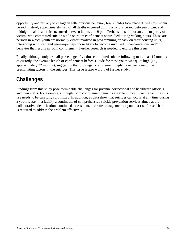opportunity and privacy to engage in self-injurious behavior, few suicides took place during this 6-hour period. Instead, approximately half of all deaths occurred during a 6-hour period between 6 p.m. and midnight—almost a third occurred between 6 p.m. and 9 p.m. Perhaps most important, the majority of victims who committed suicide while on room confinement status died during waking hours. These are periods in which youth are normally either involved in programming or back on their housing units, interacting with staff and peers—perhaps more likely to become involved in confrontations and/or behavior that results in room confinement. Further research is needed to explore this issue.

Finally, although only a small percentage of victims committed suicide following more than 12 months of custody, the average length of confinement before suicide for these youth was quite high (i.e., approximately 22 months), suggesting that prolonged confinement might have been one of the precipitating factors in the suicides. This issue is also worthy of further study.

## **Challenges**

Findings from this study pose formidable challenges for juvenile correctional and healthcare officials and their staffs. For example, although room confinement remains a staple in most juvenile facilities, its use needs to be carefully scrutinized. In addition, as data show that suicides can occur at any time during a youth's stay in a facility a continuum of comprehensive suicide prevention services aimed at the collaborative identification, continued assessment, and safe management of youth at risk for self-harm, is required to address the problem effectively.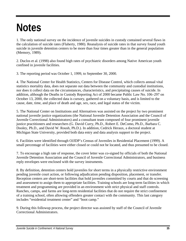## **Notes**

1. The only national survey on the incidence of juvenile suicides in custody contained several flaws in the calculation of suicide rates (Flaherty, 1980). Reanalysis of suicide rates in that survey found youth suicide in juvenile detention centers to be more than four times greater than in the general population (Memory, 1989).

2. Duclos et al. (1998) also found high rates of psychiatric disorders among Native American youth confined in juvenile facilities.

3. The reporting period was October 1, 1999, to September 30, 2000.

4. The National Center for Health Statistics, Centers for Disease Control, which collects annual vital statistics mortality data, does not separate out data between the community and custodial institutions, nor does it collect data on the circumstances, characteristics, and precipitating causes of suicide. In addition, although the Deaths in Custody Reporting Act of 2000 became Public Law No. 106–297 on October 13, 2000, the collected data is cursory, gathered on a voluntary basis, and is limited to the cause, date, time, and place of death and age, sex, race, and legal status of the victim.

5. The National Center on Institutions and Alternatives was assisted on the project by two prominent national juvenile justice organizations (the National Juvenile Detention Association and the Council of Juvenile Correctional Administrators) and a consultant team composed of four prominent juvenile justice practitioners and researchers (G. David Curry, Ph.D., Robert E. DeComo, Ph.D., Barbara C. Dooley, Ph.D., and David W. Roush, Ph.D.). In addition, Cedrick Heraux, a doctoral student at Michigan State University, provided both data entry and data analysis support to the project.

6. Facilities were identified through OJJDP's Census of Juveniles in Residential Placement (1999). A small percentage of facilities were either closed or could not be located, and thus presumed to be closed.

7. To encourage a high rate of response, the cover letter was co-signed by officials of both the National Juvenile Detention Association and the Council of Juvenile Correctional Administrators, and business reply envelopes were enclosed with the survey instruments.

8. By definition, detention centers hold juveniles for short terms in a physically restrictive environment pending juvenile court action, or following adjudication pending disposition, placement, or transfer. Reception centers are short-term facilities that hold juveniles committed by courts and that do screening and assessment to assign them to appropriate facilities. Training schools are long-term facilities in which treatment and programming are provided in an environment with strict physical and staff controls. Ranches, camps, and farms are long-term residential facilities that do not require the strict confinement of a training school, often allowing offenders greater contact with the community. This last category includes "residential treatment center" and "boot camp."

9. During this followup process, the project director was assisted by staff of the Council of Juvenile Correctional Administrators.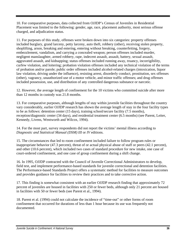10. For comparative purposes, data collected from OJJDP's Census of Juveniles in Residential Placement was limited to the following: gender, age, race, placement authority, most serious offense charged, and adjudication status.

11. For purposes of this study, offenses were broken down into six categories: property offenses included burglary, grand larceny, petty larceny, auto theft, robbery (other), receiving stolen property, shoplifting, arson, breaking and entering, entering without breaking, counterfeiting, forgery, embezzlement, vandalism, and carrying a concealed weapon; person offenses included murder, negligent manslaughter, armed robbery, rape, indecent assault, assault, battery, sexual assault, aggravated assault, and kidnapping; status offenses included running away, truancy, incorrigibility, curfew violation, and loitering; probation violation offenses included any technical violation of the terms of probation and/or parole; public order offenses included alcohol-related charges (intoxication, liquor law violation, driving under the influence), resisting arrest, disorderly conduct, prostitution, sex offenses (other), vagrancy, unauthorized use of a motor vehicle, and minor traffic offenses; and drug offenses included possession, use, and distribution of any controlled dangerous substance or narcotic.

12. However, the average length of confinement for the 10 victims who committed suicide after more than 12 months in custody was 21.8 months.

13. For comparative purposes, although lengths of stay within juvenile facilities throughout the country vary considerably, earlier OJJDP research has shown the average length of stay in the four facility types to be as follows: detention center (15 days), training school/secure facility (7.5 months), reception/diagnostic center (34 days), and residential treatment center (6.5 months) (see Parent, Leiter, Kennedy, Livens, Wentworth and Wilcox, 1994).

14. For the most part, survey respondents did not report the victims' mental illness according to *Diagnostic and Statistical Manual (DSM) III* or *IV* editions.

15. The circumstances that led to room confinement included failure to follow program rules or inappropriate behavior (47.3 percent), threat of or actual physical abuse of staff or peers (42.1 percent), and other (10.6 percent), which included two cases of standard procedure for new intake, one case of court-ordered confinement, and one case of group confinement during a shift change.

16. In 1995, OJJDP contracted with the Council of Juvenile Correctional Administrators to develop, field test, and implement performance-based standards for juvenile correctional and detention facilities. The Performance-based Standards Project offers a systematic method for facilities to measure outcomes and provides guidance for facilities to review their practices and to take corrective action.

17. This finding is somewhat consistent with an earlier OJJDP research finding that approximately 72 percent of juveniles are housed in facilities with 250 or fewer beds, although only 21 percent are housed in facilities with 50 or fewer beds (see Parent et al., 1994).

18. Parent et al. (1994) could not calculate the incidence of "time-out" or other forms of room confinement that occurred for durations of less than 1 hour because its use was frequently not documented.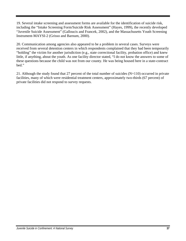19. Several intake screening and assessment forms are available for the identification of suicide risk, including the "Intake Screening Form/Suicide Risk Assessment" (Hayes, 1999), the recently developed "Juvenile Suicide Assessment" (Galloucis and Francek, 2002), and the Massachusetts Youth Screening Instrument-MAYSI-2 (Grisso and Barnum, 2000).

20. Communication among agencies also appeared to be a problem in several cases. Surveys were received from several detention centers in which respondents complained that they had been temporarily "holding" the victim for another jurisdiction (e.g., state correctional facility, probation office) and knew little, if anything, about the youth. As one facility director stated, "I do not know the answers to some of these questions because the child was not from our county. He was being housed here in a state-contract bed."

21. Although the study found that 27 percent of the total number of suicides (N=110) occurred in private facilities, many of which were residential treatment centers, approximately two-thirds (67 percent) of private facilities did not respond to survey requests.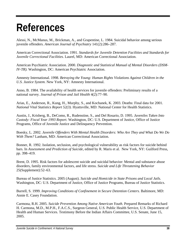## **References**

Alessi, N., McManus, M., Brickman, A., and Grapentine, L. 1984. Suicidal behavior among serious juvenile offenders. *American Journal of Psychiatry* 141(2):286–287.

American Correctional Association. 1991. *Standards for Juvenile Detention Facilities and Standards for Juvenile Correctional Facilities.* Laurel, MD: American Correctional Association.

American Psychiatric Association. 2000. *Diagnostic and Statistical Manual of Mental Disorders (DSM-IV-TR).* Washington, DC: American Psychiatric Association.

Amnesty International. 1998. *Betraying the Young: Human Rights Violations Against Children in the U.S. Justice System.* New York, NY: Amnesty International.

Anno, B. 1984. The availability of health services for juvenile offenders: Preliminary results of a national survey. *Journal of Prison and Jail Health* 4(2):77–90.

Arias, E., Anderson, R., Kung, H., Murphy, S., and Kochanek, K. 2003. Deaths: Final data for 2001. *National Vital Statistics Report 52(3).* Hyattsville, MD: National Center for Health Statistics.

Austin, J., Krisberg, B., DeComo, R., Rudenstine, S., and Del Rosario, D. 1995. *Juveniles Taken Into Custody: Fiscal Year 1993 Report.* Washington, DC: U.S. Department of Justice, Office of Justice Programs, Office of Juvenile Justice and Delinquency Prevention.

Boesky, L. 2002. *Juvenile Offenders With Mental Health Disorders: Who Are They and What Do We Do With Them?* Lanham, MD: American Correctional Association.

Bonner, R. 1992. Isolation, seclusion, and psychological vulnerability as risk factors for suicide behind bars. In *Assessment and Prediction of Suicide,* edited by R. Maris et al. New York, NY: Guilford Press, pp. 398–419.

Brent, D. 1995. Risk factors for adolescent suicide and suicidal behavior: Mental and substance abuse disorders, family environmental factors, and life stress. *Suicide and Life Threatening Behavior*  25(Supplement):52–63.

Bureau of Justice Statistics. 2005 (August). *Suicide and Homicide in State Prisons and Local Jails.*  Washington, DC: U.S. Department of Justice, Office of Justice Programs, Bureau of Justice Statistics.

Burrell, S. 1999. *Improving Conditions of Confinement in Secure Detention Centers.* Baltimore, MD: Annie E. Casey Foundation.

Carmona, R.H. 2005. *Suicide Prevention Among Native American Youth.* Prepared Remarks of Richard H. Carmona, M.D., M.P.H., F.A.C.S., Surgeon General, U.S. Public Health Service, U.S. Department of Health and Human Services. Testimony Before the Indian Affairs Committee, U.S. Senate, June 15, 2005.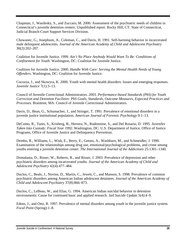Chapman, J., Wasilesky, S., and Zuccaro, M. 2000. Assessment of the psychiatric needs of children in Connecticut's juvenile detention centers. Unpublished report. Rocky Hill, CT: State of Connecticut, Judicial Branch-Court Support Services Division.

Chowanec, G., Josephson, A., Coleman, C., and Davis, H. 1991. Self-harming behavior in incarcerated male delinquent adolescents. *Journal of the American Academy of Child and Adolescent Psychiatry*  30(2):202–207.

Coalition for Juvenile Justice. 1999. *Ain't No Place Anybody Would Want To Be: Conditions of Confinement for Youth.* Washington, DC: Coalition for Juvenile Justice.

Coalition for Juvenile Justice. 2000. *Handle With Care: Serving the Mental Health Needs of Young Offenders.* Washington, DC: Coalition for Juvenile Justice.

Cocozza, J., and Skowyra, K. 2000. Youth with mental health disorders: Issues and emerging responses. *Juvenile Justice* 7(1):3–13.

Council of Juvenile Correctional Administrators. 2003. *Performance-based Standards (PbS) for Youth Correction and Detention Facilities: PbS Goals, Standards, Outcome Measures, Expected Practices and Processes.* Braintree, MA: Council of Juvenile Correctional Administrators.

Davis, D., Bean, G., Schumacher, J., and Stringer, T. 1991. Prevalence of emotional disorders in a juvenile justice institutional population. *American Journal of Forensic Psychology* 9:1–13.

DeComo, R., Tunis, S., Krisberg, B., Herrera, N., Rudenstine, S., and Del Rosario, D. 1995. *Juveniles Taken Into Custody: Fiscal Year 1992.* Washington, DC: U.S. Department of Justice, Office of Justice Programs, Office of Juvenile Justice and Delinquency Prevention.

Dembo, R., Williams, L., Wish, E., Berry, E., Getreu, A., Washburn, M., and Schmeidler, J. 1990. Examination of the relationships among drug use, emotional/psychological problems, and crime among youths entering a juvenile detention center. *The International Journal of the Addictions* 25:1301–1340.

Domalanta, D., Risser, W., Roberts, R., and Risser, J. 2003. Prevalence of depression and other psychiatric disorders among incarcerated youths. *Journal of the American Academy of Child and Adolescent Psychiatry* 42(4):477–484.

Duclos, C., Beals, J., Novins, D., Martin, C., Jewett, C., and Manson, S. 1998. Prevalence of common psychiatric disorders among American Indian adolescent detainees. *Journal of the American Academy of Child and Adolescent Psychiatry* 37(8):866–873.

Duclos, C., LeBeau, W., and Elias, G. 1994. American Indian suicidal behavior in detention environments: Cause for continued basic and applied research. *Jail Suicide Update* 5(4):4–9.

Edens, J., and Otto, R. 1997. Prevalence of mental disorders among youth in the juvenile justice system. *Focal Point* (Spring):1–8.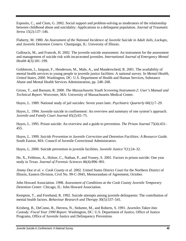Esposito, C., and Clum, G. 2002. Social support and problem-solving as moderators of the relationship between childhood abuse and suicidality: Applications to a delinquent population. *Journal of Traumatic Stress* 15(2):137–146.

Flaherty, M. 1980. *An Assessment of the National Incidence of Juvenile Suicide in Adult Jails, Lockups, and Juvenile Detention Centers.* Champaign, IL: University of Illinois.

Galloucis, M., and Francek, H. 2002. The juvenile suicide assessment: An instrument for the assessment and management of suicide risk with incarcerated juveniles. *International Journal of Emergency Mental Health* 4(3):181–199.

Goldstrom, I., Jaiquan, F., Henderson, M., Male, A., and Manderscheid, R. 2001. The availability of mental health services to young people in juvenile justice facilities: A national survey. In *Mental Health, United States, 2000.* Washington, DC: U.S. Department of Health and Human Services, Substance Abuse and Mental Health Services Administration, pp. 248–268.

Grisso, T., and Barnum, R. 2000. *The Massachusetts Youth Screening Instrument-2: User's Manual and Technical Report.* Worcester, MA: University of Massachusetts Medical Center.

Hayes, L. 1989. National study of jail suicides: Seven years later. *Psychiatric Quarterly* 60(1):7–29.

Hayes, L. 1994. Juvenile suicide in confinement: An overview and summary of one system's approach. *Juvenile and Family Court Journal* 45(2):65–75.

Hayes, L. 1995. Prison suicide: An overview and a guide to prevention. *The Prison Journal* 75(4):431– 455.

Hayes, L. 1999. *Suicide Prevention in Juvenile Correction and Detention Facilities: A Resource Guide.*  South Easton, MA: Council of Juvenile Correctional Administrators.

Hayes, L. 2000. Suicide prevention in juvenile facilities. *Juvenile Justice* 7(1):24–32.

He, X., Felthous, A., Holzer, C., Nathan, P., and Veasey, S. 2001. Factors in prison suicide: One year study in Texas. *Journal of Forensic Sciences* 46(4):896–901.

*Jimmy Doe et al. v. Cook County et al.* 2002. United States District Court for the Northern District of Illinois, Eastern Division, Civil No. 99-C-3945, Memorandum of Agreement, October.

John Howard Association. 1998. *Assessment of Conditions at the Cook County Juvenile Temporary Detention Center.* Chicago, IL: John Howard Association.

Kempton, T., and Forehand, R. 1992. Suicide attempts among juvenile delinquents: The contribution of mental health factors. *Behaviour Research and Therapy* 30(5):537–541.

Krisberg, B., DeComo, R., Herrera, N., Steketee, M., and Roberts, S. 1991. *Juveniles Taken Into Custody: Fiscal Year 1990 Report.* Washington, DC: U.S. Department of Justice, Office of Justice Programs, Office of Juvenile Justice and Delinquency Prevention.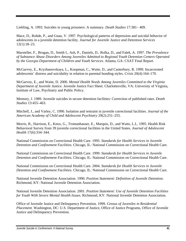Liebling, A. 1993. Suicides in young prisoners: A summary. *Death Studies* 17:381– 409.

Mace, D., Rohde, P., and Gnau, V. 1997. Psychological patterns of depression and suicidal behavior of adolescents in a juvenile detention facility. *Journal for Juvenile Justice and Detention Services*  12(1):18–23.

Marsteller, F., Brogan, D., Smith I., Ash, P., Daniels, D., Rolka, D., and Falek, A. 1997. *The Prevalence of Substance Abuse Disorders Among Juveniles Admitted to Regional Youth Detention Centers Operated by the Georgia Department of Children and Youth Services.* Atlanta, GA: CSAT Final Report.

McGarvey, E., Kryzhanovskaya, L., Koopman, C., Waite, D., and Canterbury, R. 1999. Incarcerated adolescents' distress and suicidality in relation to parental bonding styles. *Crisis* 20(4):164–170.

McGarvey, E., and Waite, D. 2000. *Mental Health Needs Among Juveniles Committed to the Virginia Department of Juvenile Justice.* Juvenile Justice Fact Sheet. Charlottesville, VA: University of Virginia, Institute of Law, Psychiatry and Public Policy.

Memory, J. 1989. Juvenile suicides in secure detention facilities: Correction of published rates. *Death Studies* 13:455–463.

Mitchell, J., and Varley, C. 1990. Isolation and restraint in juvenile correctional facilities. *Journal of the American Academy of Child and Adolescent Psychiatry* 29(2):251–255.

Morris, R., Harrison, E., Knox, G., Tromanhauser, E., Marquis, D., and Watts, L.L. 1995. Health Risk Behavioral Survey from 39 juvenile correctional facilities in the United States. *Journal of Adolescent Health* 17(6):334–344.

National Commission on Correctional Health Care. 1995. *Standards for Health Services in Juvenile Detention and Confinement Facilities.* Chicago, IL: National Commission on Correctional Health Care.

National Commission on Correctional Health Care. 1999. *Standards for Health Services in Juvenile Detention and Confinement Facilities.* Chicago, IL: National Commission on Correctional Health Care.

National Commission on Correctional Health Care. 2004. *Standards for Health Services in Juvenile Detention and Confinement Facilities.* Chicago, IL: National Commission on Correctional Health Care.

National Juvenile Detention Association. 1990. *Position Statement: Definition of Juvenile Detention.*  Richmond, KY: National Juvenile Detention Association.

National Juvenile Detention Association. 2001. *Position Statement: Use of Juvenile Detention Facilities for Youth With Severe Mental Health Issues.* Richmond, KY: National Juvenile Detention Association.

Office of Juvenile Justice and Delinquency Prevention. 1999. *Census of Juveniles in Residential Placement.* Washington, DC: U.S. Department of Justice, Office of Justice Programs, Office of Juvenile Justice and Delinquency Prevention.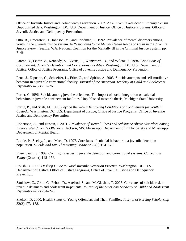Office of Juvenile Justice and Delinquency Prevention. 2002. *2000 Juvenile Residential Facility Census.*  Unpublished data. Washington, DC: U.S. Department of Justice, Office of Justice Programs, Office of Juvenile Justice and Delinquency Prevention.

Otto, R., Greenstein, J., Johnson, M., and Friedman, R. 1992. Prevalence of mental disorders among youth in the juvenile justice system. In *Responding to the Mental Health Needs of Youth in the Juvenile Justice System.* Seattle, WA: National Coalition for the Mentally Ill in the Criminal Justice System, pp. 7–48.

Parent, D., Leiter, V., Kennedy, S., Livens, L., Wentworth, D., and Wilcox, S. 1994. *Conditions of Confinement: Juvenile Detention and Corrections Facilities.* Washington, DC: U.S. Department of Justice, Office of Justice Programs, Office of Juvenile Justice and Delinquency Prevention.

Penn, J., Esposito, C., Schaeffer, L., Fritz, G., and Spirito, A. 2003. Suicide attempts and self-mutilative behavior in a juvenile correctional facility. *Journal of the American Academy of Child and Adolescent Psychiatry* 42(7):762–769.

Porter, C. 1996. Suicide among juvenile offenders: The impact of social integration on suicidal behaviors in juvenile confinement facilities. Unpublished master's thesis, Michigan State University.

Puritz, P., and Scali, M. 1998. *Beyond the Walls: Improving Conditions of Confinement for Youth in Custody.* Washington, DC: U.S. Department of Justice, Office of Justice Programs, Office of Juvenile Justice and Delinquency Prevention.

Robertson, A., and Husain, J. 2001. *Prevalence of Mental illness and Substance Abuse Disorders Among Incarcerated Juvenile Offenders.* Jackson, MS: Mississippi Department of Public Safety and Mississippi Department of Mental Health.

Rohde, P., Seeley, J., and Mace, D. 1997. Correlates of suicidal behavior in a juvenile detention population. *Suicide and Life-Threatening Behavior* 27(2):164–175.

Rosenbaum, S. 1999. Civil rights issues in juvenile detention and correctional systems. *Corrections Today* (October):148–156.

Roush, D. 1996. *Desktop Guide to Good Juvenile Detention Practice.* Washington, DC: U.S. Department of Justice, Office of Justice Programs, Office of Juvenile Justice and Delinquency Prevention.

Sanislow, C., Grilo, C., Fehon, D., Axelrod, S., and McGlashan, T. 2003. Correlates of suicide risk in juvenile detainees and adolescent in-patients. *Journal of the American Academy of Child and Adolescent Psychiatry* 42(2):234–240.

Shelton, D. 2000. Health Status of Young Offenders and Their Families. *Journal of Nursing Scholarship*  32(2):173–178.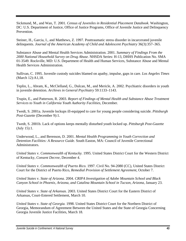Sickmund, M., and Wan, T. 2001. *Census of Juveniles in Residential Placement Databook.* Washington, DC: U.S. Department of Justice, Office of Justice Programs, Office of Juvenile Justice and Delinquency Prevention.

Steiner, H., Garcia, I., and Matthews, Z. 1997. Posttraumatic stress disorder in incarcerated juvenile delinquents. *Journal of the American Academy of Child and Adolescent Psychiatry* 36(3):357–365.

Substance Abuse and Mental Health Services Administration. 2001. *Summary of Findings From the 2000 National Household Survey on Drug Abuse.* NHSDA Series: H-13, DHHS Publication No. SMA 01-3549. Rockville, MD: U.S. Department of Health and Human Services, Substance Abuse and Mental Health Services Administration.

Sullivan, C. 1995. Juvenile custody suicides blamed on apathy, impulse, gaps in care. *Los Angeles Times*  (March 12):A1,18.

Teplin, L., Abram, K., McClelland, G., Dulcan, M., and Mericle, A. 2002. Psychiatric disorders in youth in juvenile detention. *Archives in General Psychiatry* 59:1133–1143.

Trupin, E., and Patterson, R. 2003. *Report of Findings of Mental Health and Substance Abuse Treatment Services to Youth in California Youth Authority Facilities,* December.

Twedt, S. 2001a. Juvenile lockups ill-equipped to care for young people considering suicide. *Pittsburgh Post-Gazette* (December 9):1.

Twedt, S. 2001b. Lack of options keeps mentally disturbed youth locked up. *Pittsburgh Post-Gazette*  (July 15):1.

Underwood, L., and Berenson, D. 2001. *Mental Health Programming in Youth Correction and Detention Facilities: A Resource Guide.* South Easton, MA: Council of Juvenile Correctional Administrators.

*United States* v. *Commonwealth of Kentucky.* 1995. United States District Court for the Western District of Kentucky, *Consent Decree,* December 4.

*United States* v. *Commonwealth of Puerto Rico.* 1997. Civil No. 94-2080 (CC), United States District Court for the District of Puerto Rico, *Remedial Provision of Settlement Agreement,* October 7.

*United States* v. *State of Arizona.* 2004. *CRIPA Investigation of Adobe Mountain School and Black Canyon School in Phoenix, Arizona, and Catalina Mountain School in Tucson, Arizona,* January 23.

*United States* v. *State of Arkansas.* 2003. United States District Court for the Eastern District of Arkansas, Court-Entered Settlement, March 10.

*United States* v. *State of Georgia.* 1998. United States District Court for the Northern District of Georgia, Memorandum of Agreement Between the United States and the State of Georgia Concerning Georgia Juvenile Justice Facilities, March 18.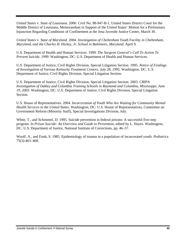*United States* v. *State of Louisiana.* 2000. Civil No. 98-947-B-1, United States District Court for the Middle District of Louisiana, Memorandum in Support of the United States' Motion for a Preliminary Injunction Regarding Conditions of Confinement at the Jena Juvenile Justice Center, March 30.

*United States* v. *State of Maryland.* 2004. *Investigation of Cheltenham Youth Facility in Cheltenham, Maryland, and the Charles H. Hickey, Jr. School in Baltimore, Maryland,* April 9.

U.S. Department of Health and Human Services. 1999. *The Surgeon General's Call To Action To Prevent Suicide, 1999.* Washington, DC: U.S. Department of Health and Human Services.

U.S. Department of Justice, Civil Rights Division, Special Litigation Section. 1995. *Notice of Findings of Investigation of Various Kentucky Treatment Centers, July 28, 1995.* Washington, DC: U.S. Department of Justice, Civil Rights Division, Special Litigation Section.

U.S. Department of Justice, Civil Rights Division, Special Litigation Section. 2003. *CRIPA Investigation of Oakley and Columbia Training Schools in Raymond and Columbia, Mississippi, June 19, 2003.* Washington, DC: U.S. Department of Justice, Civil Rights Division, Special Litigation Section.

U.S. House of Representatives. 2004. *Incarceration of Youth Who Are Waiting for Community Mental Health Services in the United States.* Washington, DC: U.S. House of Representatives, Committee on Government Reform (Minority Staff), Special Investigations Division, July.

White, T., and Schimmel, D. 1995. Suicide prevention in federal prisons: A successful five-step program. In *Prison Suicide: An Overview and Guide to Prevention,* edited by L. Hayes. Washington, DC: U.S. Department of Justice, National Institute of Corrections, pp. 46–57.

Woolf, A., and Funk, S. 1985. Epidemiology of trauma in a population of incarcerated youth. *Pediatrics*  75(3):463–468.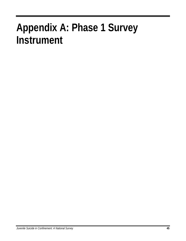## **Appendix A: Phase 1 Survey Instrument**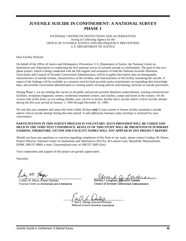#### **JUVENILE SUICIDE IN CONFINEMENT: A NATIONAL SURVEY PHASE 1**

#### NATIONAL CENTER ON INSTITUTIONS AND ALTERNATIVES Acting as Collecting Agency for the OFFICE OF JUVENILE JUSTICE AND DELINQUENCY PREVENTION U.S. DEPARTMENT OF JUSTICE

Dear Facility Director:

On behalf of the Office of Justice and Delinquency Prevention, U.S. Department of Justice, the National Center on Institutions and Alternatives is conducting the first national survey of juvenile suicide in confinement. The goal of this twophase project, which is being conducted with the full support and assistance of both the National Juvenile Detention Association and Council of Juvenile Correctional Administrators, will be to gather descriptive data on demographic characteristics of suicide victims, characteristics of the incident, and characteristics of the facility sustaining the suicide. A report of the findings will be available as a resource tool for both juvenile justice practitioners in expanding their knowledge base, and juvenile correctional administrators in creating and/or revising policies and training curricula on suicide prevention.

During Phase 1, we are sending this survey to all public and private juvenile detention centers/homes, training schools/secure facilities, receptions diagnostic centers, residential treatment centers, and ranches, camps and farms in the country. *On the reverse side of this form, we are asking whether your current or former facility had a suicide and/or critical suicide attempt during the five-year period of January 1, 1995 through December 31, 1999.* 

We ask that you complete and return this form within 30 days *only* if your current or former facility sustained a suicide and/or critical suicide attempt during this time period. A self-addressed, business reply envelope is enclosed for your convenience.

#### **PARTICIPATION IN THIS SURVEY PROCESS IS VOLUNTARY. DATA PROVIDED WILL BE CODED AND HELD IN THE STRICTEST CONFIDENCE. RESULTS OF THIS STUDY WILL BE PRESENTED IN SUMMARY FASHION, THEREFORE, VICTIM AND FACILITY NAMES WILL** *NOT* **APPEAR IN ANY PROJECT REPORT.**

Should you have any questions or concerns regarding completion of this form or our study, please contact Lindsay M. Hayes, Project Director, National Center on Institutions and Alternatives (NCIA), 40 Lantern Lane, Mansfield, Massachusetts 02048, 508/337-8806, e-mail: Lhayesta@aol.com, or 508/337-3083 (fax).

Your cooperation and support of this project are greatly appreciated.

Sincerely,

Lindsay M. Hayes, Project Director National Center on Institutions and Alternatives

Edward J. Loughran, Executi Council of Juvenile Correctional Administrators

arl L. Dunlap, Executive Director National Juvenile Detention Association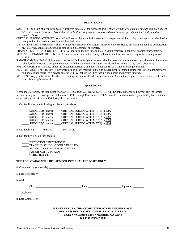#### **DEFINITIONS**

SUICIDE: Any death of a youth from a self-inflicted act. *(Note: for purposes of this study, a youth who attempts suicide in the facility yet later dies enroute to, or at, a hospital or other health care provider, is classified as a "juvenile facility suicide" and should be reported below.)* 

CRITICAL SUICIDE ATTEMPT: Any self-inflicted act by a youth that results in transport our of the facility to a hospital or other health care provider for medical attention and hospitalization.

DETENTION CENTER/HOME: A short-term facility that provides custody in a physically restricting environment pending adjudication or, following, adjudication, pending disposition, placement, or transfer.

TRAINING SCHOOL/SECURE FACILITY: A long-term facility for adjudicated youth typically under strict physical/staff controls.

RECEPTION/DIAGNOSTIC CENTER: A short-term facility that screens youth committed by courts and assigns them to appropriate facilities.

RANCH, CAMP, or FARM: A long-term residential facility for youth whose behavior does not require the strict confinement of a training school, often allowing them greater contact with the community. Includes "residential treatment facility" and "boot camp."

PUBLIC FACILITY: A facility under the direct administrative and operational control of a state or local government.

PRIVATE FACILITY: A facility (either profit or non-profit making) subject to government licensing but under the direct administrative and operational control of a private enterprise. May include facilities that include public and private funding.

RESIDENT: Any youth, either classified as a delinquent, status offender, or non-offender (dependent, neglected, abused, etc.) that resides in a public or private facility.

#### **QUESTIONS**

Please indicate below the total number of SUICIDES and/or CRITICAL SUICIDE ATTEMPTS that occurred in your current/former facility during the five-year period of January 1, 1995 through December 31, 1999. complete this form only if your facility had a suicide(s) and/or critical suicide attempt(s) during this time period.

1. Our facility had the following incidents by residents:

| $SUIDCIDE(S)$ and/or | CRITICAL SUICIDE ATTEMPT(S) in 1995 |
|----------------------|-------------------------------------|
| $SUIDCIDE(S)$ and/or | CRITICAL SUICIDE ATTEMPT(S) in 1996 |
| $SUIDCIDE(S)$ and/or | CRITICAL SUICIDE ATTEMPT(S) in 1997 |
| $SUIDCIDE(S)$ and/or | CRITICAL SUICIDE ATTEMPT(S) in 1998 |
| $SUIDCIDE(S)$ and/or | CRITICAL SUICIDE ATTEMPT(S) in 1999 |

2. Our facility is \_\_\_\_\_ PUBLIC \_\_\_\_\_ PRIVATE

3. Our facility is best described as a:

DETENTION CENTER/HOME \_\_\_\_\_ TRAINING SCHOOL/SECURE FACILITY \_\_\_\_\_ RECEPTION/DIOAGNOSTIC CENTER \_\_\_\_\_ RANCH, CAMP, or FARM  $\Box$  OTHER (Explain):

#### **THE FOLLOWING WILL BE USED FOR INTERNAL PURPOSES ONLY:**

| 8. Date Completed:                                                                                                                                    |  |
|-------------------------------------------------------------------------------------------------------------------------------------------------------|--|
| PLEASE RETURN THIS COMPLETED FOR IN THE ENCLOSED<br><b>BUSINESS REPLY ENVELOPE WITHIN 30 DAYS TO:</b><br>NCIA • 40 Lantern Lane • Mansfield, MA 02048 |  |

**or Fax to 508/337-3083**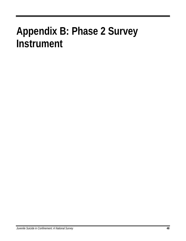## **Appendix B: Phase 2 Survey Instrument**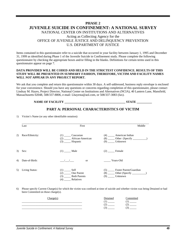#### **PHASE 2 JUVENILE SUICIDE IN CONFINEMENT: A NATIONAL SURVEY**  NATIONAL CENTER ON INSTITUTIONS AND ALTERNATIVES Acting as Collecting Agency for the OFFICE OF JUVENILE JUSTICE AND DELINQUENCY PREVENTION U.S. DEPARTMENT OF JUSTICE

Items contained in this questionnaire refer to a suicide that occurred in your facility between January 1, 1995 and December 31, 1999 as identified during Phase 1 of the Juvenile Suicide in Confinement study. Please complete the following questionnaire by checking the appropriate boxes and/or filling in the blanks. Definitions for certain terms used in this questionnaire appear on page 7.

#### **DATA PROVIDED WILL BE CODED AND HELD IN THE STRICTEST CONFIDENCE. RESULTS OF THIS STUDY WILL BE PRESENTED IN SUMMARY FASHION, THEREFORE, VICTIM AND FACILITY NAMES WILL** *NOT* **APPEAR IN ANY PROJECT REPORT.**

We ask that you complete and return this questionnaire within 30 days. A self-addressed, business reply envelope is enclosed for your convenience. Should you have any questions or concerns regarding completion of this questionnaire, please contact Lindsay M. Hayes, Project Director, National Center on Institutions and Alternatives (NCIA), 40 Lantern Lane, Mansfield, Massachusetts 02048, 508/337-8806, e-mail: Lhayesta@aol.com, or 508/337-3083 (fax).

#### **NAME OF FACILITY STATE AND STATE**

#### **PART A: PERSONAL CHARACTERISTICS OF VICTIM**

1) Victim's Name (or any other identifiable notation):

|    | Last            | First                                                                              | Middle                                                 |
|----|-----------------|------------------------------------------------------------------------------------|--------------------------------------------------------|
| 2) | Race/Ethnicity: | Caucasian<br>(1)<br>African-American<br>(2)<br>Hispanic                            | American Indian<br>(4)<br>(8)<br>Unknown<br>(9)        |
| 3) | Sex:            | $(1)$ Male                                                                         | Female<br>(2)                                          |
| 4) | Date-of-Birth:  | <b>or</b>                                                                          | Years-Old                                              |
| 5) | Living Status:  | (1)<br>Self<br>One Parent<br>(2)<br><b>Both Parents</b><br>(3)<br>Relatives<br>(4) | Foster Parent/Guardian<br>(5)<br>(8)<br>Unknown<br>(9) |

6) Please specify Current Charge(s) for which the victim was confined at time of suicide and whether victim was being Detained or had been Committed on those charge(s).

| `harae |  |
|--------|--|
|        |  |
|        |  |
|        |  |
|        |  |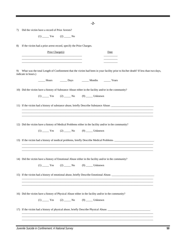|    | $-2-$                                                                                                                                                                                                                         |
|----|-------------------------------------------------------------------------------------------------------------------------------------------------------------------------------------------------------------------------------|
| 7) | Did the victim have a record of Prior Arrests?                                                                                                                                                                                |
|    | $(1)$ Yes $(2)$ No                                                                                                                                                                                                            |
| 8) | If the victim had a prior arrest record, specify the Prior Charges.                                                                                                                                                           |
|    | Prior Charge(s)<br>Date                                                                                                                                                                                                       |
|    | the control of the control of the control of the control of the control of the control of the control of the control of the control of the control of the control of the control of the control of the control of the control |
| 9) | What was the total Length of Confinement that the victim had been in your facility prior to his/her death? If less than two days,<br>indicate in hours.)                                                                      |
|    | ______ Hours ________ Days ________ Months _______ Years                                                                                                                                                                      |
|    | 10) Did the victim have a history of Substance Abuse either in the facility and/or in the community?                                                                                                                          |
|    | $(1)$ Yes $(2)$ No $(9)$ Unknown                                                                                                                                                                                              |
|    | 11) If the victim had a history of substance abuse, briefly Describe Substance Abuse.                                                                                                                                         |
|    |                                                                                                                                                                                                                               |
|    | 12) Did the victim have a history of Medical Problems either in the facility and/or in the community?<br>$(1)$ Yes $(2)$ No $(9)$ Unknown                                                                                     |
|    | 13) If the victim had a history of medical problems, briefly Describe Medical Problems.                                                                                                                                       |
|    |                                                                                                                                                                                                                               |
|    | 14) Did the victim have a history of Emotional Abuse either in the facility and/or in the community?                                                                                                                          |
|    | $(1)$ Yes $(2)$ No $(9)$ Unknown                                                                                                                                                                                              |
|    |                                                                                                                                                                                                                               |
|    |                                                                                                                                                                                                                               |
|    | 16) Did the victim have a history of Physical Abuse either in the facility and/or in the community?                                                                                                                           |
|    | $(1)$ Yes $(2)$ No $(9)$ Unknown                                                                                                                                                                                              |
|    | 17) If the victim had a history of physical abuse, briefly Describe Physical Abuse.                                                                                                                                           |
|    |                                                                                                                                                                                                                               |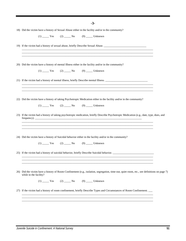| $-3-$                                                                                                                                       |  |
|---------------------------------------------------------------------------------------------------------------------------------------------|--|
| 18) Did the victim have a history of Sexual Abuse either in the facility and/or in the community?                                           |  |
| $(1)$ Yes $(2)$ No $(9)$ Unknown                                                                                                            |  |
| 19) If the victim had a history of sexual abuse, briefly Describe Sexual Abuse.                                                             |  |
| ,我们也不能会在这里,我们也不能会在这里,我们也不能会在这里,我们也不能会在这里,我们也不能会在这里,我们也不能会在这里,我们也不能会不能会不能会。""我们,我                                                            |  |
| 20) Did the victim have a history of mental Illness either in the facility and/or in the community?                                         |  |
| (1) $Yes$ (2) $No$ (9) Unknown                                                                                                              |  |
| 21) If the victim had a history of mental illness, briefly Describe mental Illness.                                                         |  |
|                                                                                                                                             |  |
| 22) Did the victim have a history of taking Psychotropic Medication either in the facility and/or in the community?                         |  |
| $(1)$ Yes $(2)$ No $(9)$ Unknown                                                                                                            |  |
| 23) If the victim had a history of taking psychotropic medication, briefly Describe Psychotropic Medication (e.g., date, type, does, and    |  |
|                                                                                                                                             |  |
| 24) Did the victim have a history of Suicidal behavior either in the facility and/or in the community?                                      |  |
| $(1)$ Yes $(2)$ No $(9)$ Unknown                                                                                                            |  |
| 25) If the victim had a history of suicidal behavior, briefly Describe Suicidal behavior.                                                   |  |
|                                                                                                                                             |  |
| 26) Did the victim have a history of Room Confinement (e.g., isolation, segregation, time-out, quiet room, etc., see definitions on page 7) |  |
| while in the facility?<br>$(1)$ Yes $(2)$ No $(9)$ Unknown                                                                                  |  |
|                                                                                                                                             |  |
| 27) If the victim had a history of room confinement, briefly Describe Types and Circumstances of Room Confinement.                          |  |
|                                                                                                                                             |  |
|                                                                                                                                             |  |
|                                                                                                                                             |  |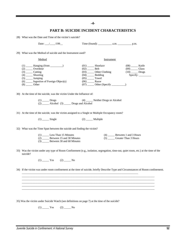#### **-4-**

#### **PART B: SUICIDE INCIDENT CHARACTERISTICS**

28) What was the Date and Time of the victim's suicide?

Date: \_\_\_/\_\_\_\_/199\_\_\_ Time (found): \_\_\_\_\_\_\_\_\_\_\_\_\_ a.m. \_\_\_\_\_\_\_\_\_\_\_\_\_\_\_\_\_ p.m.

29) What was the Method of suicide and the Instrument used?

| Method                                                                                         | Instrument                                                                                     |                                                             |
|------------------------------------------------------------------------------------------------|------------------------------------------------------------------------------------------------|-------------------------------------------------------------|
| (1)<br>Hanging (from<br>(2)<br>Overdose<br>(3)<br>Cutting<br>(4)<br>Shooting<br>Jumping<br>(5) | (01)<br>Shoelace<br>(02)<br>Belt<br>Other Clothing<br>(03)<br>Bedding<br>(04)<br>Towel<br>(05) | (08)<br>Knife<br>(09)<br>Glass<br>(10)<br>Drugs<br>Specify: |
| $\frac{1}{2}$ Ingestion of Foreign Object(s)<br>(6)<br>(8)<br>Other                            | (06)<br>Razor<br>Other (Specify)<br>(07)                                                       |                                                             |

- 30) At the time of the suicide, was the victim Under the Influence of:
	- (1) Drugs (4) Neither Drugs or Alcohol  $(2)$   $\frac{\text{LHS}}{\text{Alcohol}}$   $(3)$   $\frac{\text{Drugs}}{\text{LHS}}$
- 31) At the time of the suicide, was the victim assigned to a Single or Multiple Occupancy room?
	- $(1)$  \_\_\_\_\_ Single  $(2)$  \_\_\_\_\_ Multiple
- 32) What was the Time Span between the suicide and finding the victim?

| Less Than 15 Minutes<br>(1)      | Between 1 and 3 Hours    |
|----------------------------------|--------------------------|
| (2) Between 15 and 30 Minutes    | (5) Greater Than 3 Hours |
| Between 30 and 60 Minutes<br>(3) |                          |

33) Was the victim under any type of Room Confinement (e.g., isolation, segregation, time-out, quiet room, etc.) at the time of the suicide?

 $(1)$   $Yes$   $(2)$   $No$ 

34) If the victim was under room confinement at the time of suicide, briefly Describe Type and Circumstances of Room confinement.

\_\_\_\_\_\_\_\_\_\_\_\_\_\_\_\_\_\_\_\_\_\_\_\_\_\_\_\_\_\_\_\_\_\_\_\_\_\_\_\_\_\_\_\_\_\_\_\_\_\_\_\_\_\_\_\_\_\_\_\_\_\_\_\_\_\_\_\_\_\_\_\_\_\_\_\_\_\_\_\_\_\_\_\_\_\_\_\_\_\_\_\_\_\_\_\_\_ \_\_\_\_\_\_\_\_\_\_\_\_\_\_\_\_\_\_\_\_\_\_\_\_\_\_\_\_\_\_\_\_\_\_\_\_\_\_\_\_\_\_\_\_\_\_\_\_\_\_\_\_\_\_\_\_\_\_\_\_\_\_\_\_\_\_\_\_\_\_\_\_\_\_\_\_\_\_\_\_\_\_\_\_\_\_\_\_\_\_\_\_\_\_\_\_\_ \_\_\_\_\_\_\_\_\_\_\_\_\_\_\_\_\_\_\_\_\_\_\_\_\_\_\_\_\_\_\_\_\_\_\_\_\_\_\_\_\_\_\_\_\_\_\_\_\_\_\_\_\_\_\_\_\_\_\_\_\_\_\_\_\_\_\_\_\_\_\_\_\_\_\_\_\_\_\_\_\_\_\_\_\_\_\_\_\_\_\_\_\_\_\_\_\_ \_\_\_\_\_\_\_\_\_\_\_\_\_\_\_\_\_\_\_\_\_\_\_\_\_\_\_\_\_\_\_\_\_\_\_\_\_\_\_\_\_\_\_\_\_\_\_\_\_\_\_\_\_\_\_\_\_\_\_\_\_\_\_\_\_\_\_\_\_\_\_\_\_\_\_\_\_\_\_\_\_\_\_\_\_\_\_\_\_\_\_\_\_\_\_\_\_ \_\_\_\_\_\_\_\_\_\_\_\_\_\_\_\_\_\_\_\_\_\_\_\_\_\_\_\_\_\_\_\_\_\_\_\_\_\_\_\_\_\_\_\_\_\_\_\_\_\_\_\_\_\_\_\_\_\_\_\_\_\_\_\_\_\_\_\_\_\_\_\_\_\_\_\_\_\_\_\_\_\_\_\_\_\_\_\_\_\_\_\_\_\_\_\_\_

\_\_\_\_\_\_\_\_\_\_\_\_\_\_\_\_\_\_\_\_\_\_\_\_\_\_\_\_\_\_\_\_\_\_\_\_\_\_\_\_\_\_\_\_\_\_\_\_\_\_\_\_\_\_\_\_\_\_\_\_\_\_\_\_\_\_\_\_\_\_\_\_\_\_\_\_\_\_\_\_\_\_\_\_\_

35) Was the victim under Suicide Watch (see definitions on page 7) at the time of the suicide?

 $(1)$   $Yes$   $(2)$   $No$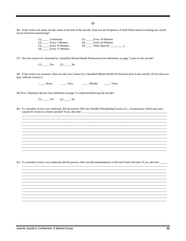$-5-$ 

36) If the victim was under suicide watch at the time of the suicide, what was the Frequency of Staff Observation (excluding any closed circuit television monitoring)?

| $\left(1\right)$        | Every 30 Minutes |
|-------------------------|------------------|
| Continuous              | (5)              |
| (2)                     | Every 60 Minutes |
| Every 5 Minutes         | $(6)$ __         |
| (3)                     | Other (Specify   |
| Every 10 Minutes        | (8)              |
| Every 15 Minutes<br>(4) |                  |

37) Was the victim ever Assessed by a Qualified Mental Health Professional (see definitions on page 7) prior to the suicide?

 $(1)$  Yes  $(2)$  No

38) If the victim was assessed, when was the Last Contact by a Qualified Mental Health Professional prior to the suicide? (If less than two days, indicate in hours.)

> $Days$ **Hours** Months Years

39) Was a Mortality Review (see definitions on page 7) conducted following the suicide?

 $(1)$  Yes  $(2)$  No

40) If a mortality review was conducted, did the process offer any Possible Precipitating Factors (i.e., circumstances which may have 

41) If a mortality review was conducted, did the process offer any Recommendations to Prevent Future Suicides? If yes, describe: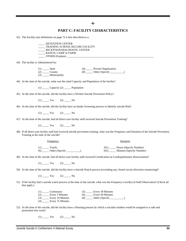**-6-**

#### **PART C: FACILITY CHARACTERISTICS**

42) The Facility (see definitions on page 7) is best described as a:

\_\_\_\_\_ DETENTION CENTER TRAINING SCHOOL/SECURE FACILITY \_\_\_\_\_ RECEPTION/DIAGNOSTIC CENTER \_\_\_\_\_ RANCH, CAMP or FARM  $\Box$  OTHER (Explain):

43) The facility is Administered by:

| State                | Private Organization                          |
|----------------------|-----------------------------------------------|
| (2)<br><b>County</b> | $\_\_\_\$ Other (Specify $\_\_\_\_\_\$<br>(8) |
| Municipality<br>(3)  |                                               |

44) At the time of the suicide, what was the rated Capacity and Population of the facility?

 $(1)$  \_\_\_\_\_\_ Capacity  $(2)$  \_\_\_\_\_\_ Population

45) At the time of the suicide, did the facility have a Written Suicide Prevention Policy?

 $(1)$   $\_\_\_\_\$  Yes  $(2)$   $\_\_\_\_\$  No

46) At the time of the suicide, did the facility have an Intake Screening process to Identify suicide Risk?

 $(1)$   $Yes$   $(2)$   $No$ 

47) At the time of the suicide, had *all* direct-care facility staff received Suicide Prevention Training?

 $(1)$   $Yes$   $(2)$   $No$ 

48) If all direct-care facility staff had received suicide prevention training, what was the Frequency and Duration of the Suicide Prevention Training at the time of the suicide?

Frequency Duration

| (1) | Yearly         |      | (01) Hours (Specify Number) |
|-----|----------------|------|-----------------------------|
| (6) | Other (Specify | (02) | _ Minutes (Specify Number)  |

49) At the time of the suicide, had all direct-care facility staff received Certification on Cardiopulmonary Resuscitation?

 $(1)$   $Yes$   $(2)$   $No$ 

50) At the time of the suicide, did the facility have a Suicide Watch process (excluding any closed circuit television monitoring)?

 $(1)$   $Yes$   $(2)$   $No$ 

51) If the facility had a suicide watch process at the time of the suicide, what was the Frequency Level(s) of Staff Observation? (Check all that apply.)

| (1)<br>Continuous       | Every 30 Minutes        |
|-------------------------|-------------------------|
| (2)<br>Every 5 Minutes  | Every 60 Minutes<br>(6) |
| (3)<br>Every 10 Minutes | Other (Specify          |
| (4)<br>Every 15 Minutes |                         |

52) At the time of the suicide, did the facility have a Housing process by which a suicidal resident would be assigned to a safe and protrusion-free room?

 $(1)$   $Yes$   $(2)$   $No$